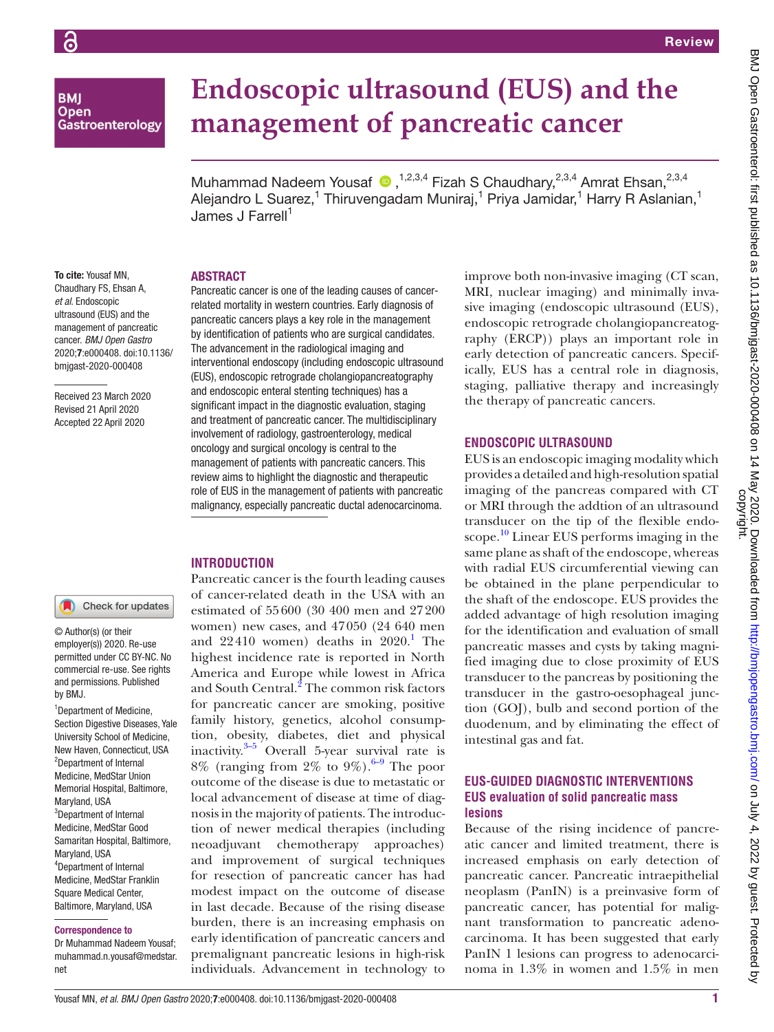**BMI Open** Gastroenterology

# **Endoscopic ultrasound (EUS) and the management of pancreatic cancer**

Muhammad Nadeem Yousaf  $\bullet$ , <sup>1,2,3,4</sup> Fizah S Chaudhary, <sup>2,3,4</sup> Amrat Ehsan, <sup>2,3,4</sup> Alejandro L Suarez,<sup>1</sup> Thiruvengadam Muniraj,<sup>1</sup> Priya Jamidar,<sup>1</sup> Harry R Aslanian,<sup>1</sup> James J Farrell<sup>1</sup>

#### **ABSTRACT**

To cite: Yousaf MN, Chaudhary FS, Ehsan A, *et al*. Endoscopic ultrasound (EUS) and the management of pancreatic cancer. *BMJ Open Gastro* 2020;7:e000408. doi:10.1136/ bmjgast-2020-000408

Received 23 March 2020 Revised 21 April 2020 Accepted 22 April 2020

#### Check for updates

© Author(s) (or their employer(s)) 2020. Re-use permitted under CC BY-NC. No commercial re-use. See rights and permissions. Published by BMJ.

<sup>1</sup>Department of Medicine, Section Digestive Diseases, Yale University School of Medicine, New Haven, Connecticut, USA 2 Department of Internal Medicine, MedStar Union Memorial Hospital, Baltimore, Maryland, USA 3 Department of Internal Medicine, MedStar Good Samaritan Hospital, Baltimore, Maryland, USA 4 Department of Internal Medicine, MedStar Franklin Square Medical Center, Baltimore, Maryland, USA

#### Correspondence to

Dr Muhammad Nadeem Yousaf; muhammad.n.yousaf@medstar. net

Pancreatic cancer is one of the leading causes of cancerrelated mortality in western countries. Early diagnosis of pancreatic cancers plays a key role in the management by identification of patients who are surgical candidates. The advancement in the radiological imaging and interventional endoscopy (including endoscopic ultrasound (EUS), endoscopic retrograde cholangiopancreatography and endoscopic enteral stenting techniques) has a significant impact in the diagnostic evaluation, staging and treatment of pancreatic cancer. The multidisciplinary involvement of radiology, gastroenterology, medical oncology and surgical oncology is central to the management of patients with pancreatic cancers. This review aims to highlight the diagnostic and therapeutic role of EUS in the management of patients with pancreatic malignancy, especially pancreatic ductal adenocarcinoma.

#### **Introduction**

Pancreatic cancer is the fourth leading causes of cancer-related death in the USA with an estimated of 55600 (30 400 men and 27200 women) new cases, and 47050 (24 640 men and  $22410$  $22410$  $22410$  women) deaths in  $2020.<sup>1</sup>$  The highest incidence rate is reported in North America and Europe while lowest in Africa and South Central.<sup>[2](#page-7-1)</sup> The common risk factors for pancreatic cancer are smoking, positive family history, genetics, alcohol consumption, obesity, diabetes, diet and physical inactivity. $3-5$  Overall 5-year survival rate is 8% (ranging from 2% to 9%).<sup>6-9</sup> The poor outcome of the disease is due to metastatic or local advancement of disease at time of diagnosis in the majority of patients. The introduction of newer medical therapies (including neoadjuvant chemotherapy approaches) and improvement of surgical techniques for resection of pancreatic cancer has had modest impact on the outcome of disease in last decade. Because of the rising disease burden, there is an increasing emphasis on early identification of pancreatic cancers and premalignant pancreatic lesions in high-risk individuals. Advancement in technology to

improve both non-invasive imaging (CT scan, MRI, nuclear imaging) and minimally invasive imaging (endoscopic ultrasound (EUS), endoscopic retrograde cholangiopancreatography (ERCP)) plays an important role in early detection of pancreatic cancers. Specifically, EUS has a central role in diagnosis, staging, palliative therapy and increasingly the therapy of pancreatic cancers.

#### **Endoscopic ultrasound**

EUS is an endoscopic imaging modality which provides a detailed and high-resolution spatial imaging of the pancreas compared with CT or MRI through the addtion of an ultrasound transducer on the tip of the flexible endoscope. [10](#page-7-4) Linear EUS performs imaging in the same plane as shaft of the endoscope, whereas with radial EUS circumferential viewing can be obtained in the plane perpendicular to the shaft of the endoscope. EUS provides the added advantage of high resolution imaging for the identification and evaluation of small pancreatic masses and cysts by taking magnified imaging due to close proximity of EUS transducer to the pancreas by positioning the transducer in the gastro-oesophageal junction (GOJ), bulb and second portion of the duodenum, and by eliminating the effect of intestinal gas and fat.

#### **EUS-guided diagnostic interventions EUS evaluation of solid pancreatic mass lesions**

Because of the rising incidence of pancreatic cancer and limited treatment, there is increased emphasis on early detection of pancreatic cancer. Pancreatic intraepithelial neoplasm (PanIN) is a preinvasive form of pancreatic cancer, has potential for malignant transformation to pancreatic adenocarcinoma. It has been suggested that early PanIN 1 lesions can progress to adenocarcinoma in 1.3% in women and 1.5% in men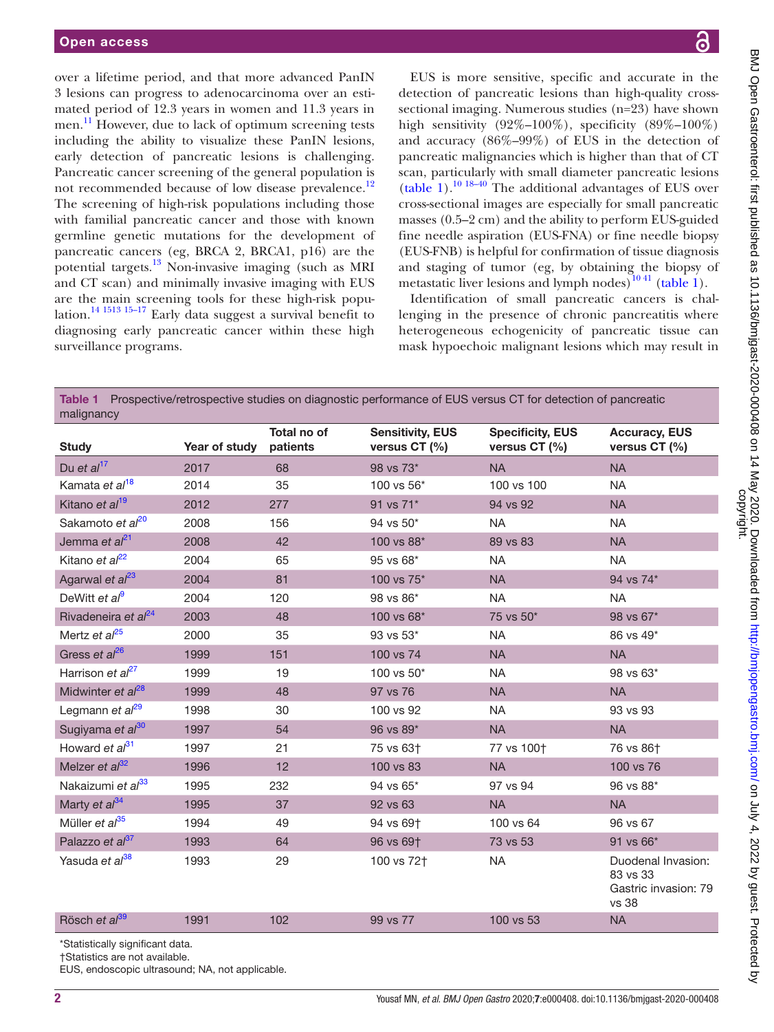BMJ Open Gastroenterol: first published as 10.1136/bmigast-2020-000408 on 14 May 2020. Downloaded from http://bmjopengastro.bmj.com/ on July 4, 2022 by guest. Protected by<br>copyright. BMJ Open Gastroenterol: first published as 10.1136/bmjgast-2020-000408 on 14 May 2020. Downloaded from <http://bmjopengastro.bmj.com/> 9. 2022 by guest. Protected by

over a lifetime period, and that more advanced PanIN 3 lesions can progress to adenocarcinoma over an estimated period of 12.3 years in women and 11.3 years in men.<sup>[11](#page-7-13)</sup> However, due to lack of optimum screening tests including the ability to visualize these PanIN lesions, early detection of pancreatic lesions is challenging. Pancreatic cancer screening of the general population is not recommended because of low disease prevalence.<sup>12</sup> The screening of high-risk populations including those with familial pancreatic cancer and those with known germline genetic mutations for the development of pancreatic cancers (eg, BRCA 2, BRCA1, p16) are the potential targets.<sup>13</sup> Non-invasive imaging (such as MRI and CT scan) and minimally invasive imaging with EUS are the main screening tools for these high-risk popu-lation.<sup>[14 15](#page-7-16)13 15–17</sup> Early data suggest a survival benefit to diagnosing early pancreatic cancer within these high surveillance programs.

EUS is more sensitive, specific and accurate in the detection of pancreatic lesions than high-quality crosssectional imaging. Numerous studies (n=23) have shown high sensitivity (92%–100%), specificity (89%–100%) and accuracy (86%–99%) of EUS in the detection of pancreatic malignancies which is higher than that of CT scan, particularly with small diameter pancreatic lesions [\(table](#page-1-0) 1).[10 18–40](#page-7-4) The additional advantages of EUS over cross-sectional images are especially for small pancreatic masses (0.5–2 cm) and the ability to perform EUS-guided fine needle aspiration (EUS-FNA) or fine needle biopsy (EUS-FNB) is helpful for confirmation of tissue diagnosis and staging of tumor (eg, by obtaining the biopsy of metastatic liver lesions and lymph nodes) $10^{41}$  ([table](#page-1-0) 1).

Identification of small pancreatic cancers is challenging in the presence of chronic pancreatitis where heterogeneous echogenicity of pancreatic tissue can mask hypoechoic malignant lesions which may result in

<span id="page-1-0"></span>

| Table 1 Prospective/retrospective studies on diagnostic performance of EUS versus CT for detection of pancreatic<br>malignancy |               |                         |                                            |                                            |                                                                 |  |  |  |
|--------------------------------------------------------------------------------------------------------------------------------|---------------|-------------------------|--------------------------------------------|--------------------------------------------|-----------------------------------------------------------------|--|--|--|
| <b>Study</b>                                                                                                                   | Year of study | Total no of<br>patients | <b>Sensitivity, EUS</b><br>versus $CT$ (%) | <b>Specificity, EUS</b><br>versus $CT$ (%) | <b>Accuracy, EUS</b><br>versus $CT$ (%)                         |  |  |  |
| Du et $al17$                                                                                                                   | 2017          | 68                      | 98 vs 73*                                  | <b>NA</b>                                  | <b>NA</b>                                                       |  |  |  |
| Kamata et al <sup>18</sup>                                                                                                     | 2014          | 35                      | 100 vs 56*                                 | 100 vs 100                                 | <b>NA</b>                                                       |  |  |  |
| Kitano et al <sup>19</sup>                                                                                                     | 2012          | 277                     | 91 vs 71*                                  | 94 vs 92                                   | <b>NA</b>                                                       |  |  |  |
| Sakamoto et al <sup>20</sup>                                                                                                   | 2008          | 156                     | 94 vs 50*                                  | <b>NA</b>                                  | <b>NA</b>                                                       |  |  |  |
| Jemma et al <sup>21</sup>                                                                                                      | 2008          | 42                      | 100 vs 88*                                 | 89 vs 83                                   | <b>NA</b>                                                       |  |  |  |
| Kitano et al <sup>22</sup>                                                                                                     | 2004          | 65                      | 95 vs 68*                                  | <b>NA</b>                                  | <b>NA</b>                                                       |  |  |  |
| Agarwal et al <sup>23</sup>                                                                                                    | 2004          | 81                      | 100 vs 75*                                 | <b>NA</b>                                  | 94 vs 74*                                                       |  |  |  |
| DeWitt et al <sup>9</sup>                                                                                                      | 2004          | 120                     | 98 vs 86*                                  | <b>NA</b>                                  | <b>NA</b>                                                       |  |  |  |
| Rivadeneira et al <sup>24</sup>                                                                                                | 2003          | 48                      | 100 vs 68*                                 | 75 vs 50*                                  | 98 vs 67*                                                       |  |  |  |
| Mertz et $al^{25}$                                                                                                             | 2000          | 35                      | 93 vs 53*                                  | <b>NA</b>                                  | 86 vs 49*                                                       |  |  |  |
| Gress et $al^{26}$                                                                                                             | 1999          | 151                     | 100 vs 74                                  | <b>NA</b>                                  | <b>NA</b>                                                       |  |  |  |
| Harrison et al <sup>27</sup>                                                                                                   | 1999          | 19                      | 100 vs 50*                                 | <b>NA</b>                                  | 98 vs 63*                                                       |  |  |  |
| Midwinter et al <sup>28</sup>                                                                                                  | 1999          | 48                      | 97 vs 76                                   | <b>NA</b>                                  | <b>NA</b>                                                       |  |  |  |
| Legmann et $al^{29}$                                                                                                           | 1998          | 30                      | 100 vs 92                                  | <b>NA</b>                                  | 93 vs 93                                                        |  |  |  |
| Sugiyama et al <sup>30</sup>                                                                                                   | 1997          | 54                      | 96 vs 89*                                  | <b>NA</b>                                  | <b>NA</b>                                                       |  |  |  |
| Howard et al <sup>31</sup>                                                                                                     | 1997          | 21                      | 75 vs 63 <sup>+</sup>                      | 77 vs 100+                                 | 76 vs 86+                                                       |  |  |  |
| Melzer et $al^{32}$                                                                                                            | 1996          | 12                      | 100 vs 83                                  | <b>NA</b>                                  | 100 vs 76                                                       |  |  |  |
| Nakaizumi et al <sup>33</sup>                                                                                                  | 1995          | 232                     | 94 vs 65*                                  | 97 vs 94                                   | 96 vs 88*                                                       |  |  |  |
| Marty et al <sup>34</sup>                                                                                                      | 1995          | 37                      | 92 vs 63                                   | <b>NA</b>                                  | <b>NA</b>                                                       |  |  |  |
| Müller et $al^{35}$                                                                                                            | 1994          | 49                      | 94 vs 69 <sup>+</sup>                      | 100 vs 64                                  | 96 vs 67                                                        |  |  |  |
| Palazzo et al <sup>37</sup>                                                                                                    | 1993          | 64                      | 96 vs 69 <sup>+</sup>                      | 73 vs 53                                   | 91 vs 66*                                                       |  |  |  |
| Yasuda et al <sup>38</sup>                                                                                                     | 1993          | 29                      | 100 vs 72+                                 | <b>NA</b>                                  | Duodenal Invasion:<br>83 vs 33<br>Gastric invasion: 79<br>vs 38 |  |  |  |
| Rösch et al <sup>39</sup>                                                                                                      | 1991          | 102                     | 99 vs 77                                   | 100 vs 53                                  | <b>NA</b>                                                       |  |  |  |

\*Statistically significant data.

†Statistics are not available.

EUS, endoscopic ultrasound; NA, not applicable.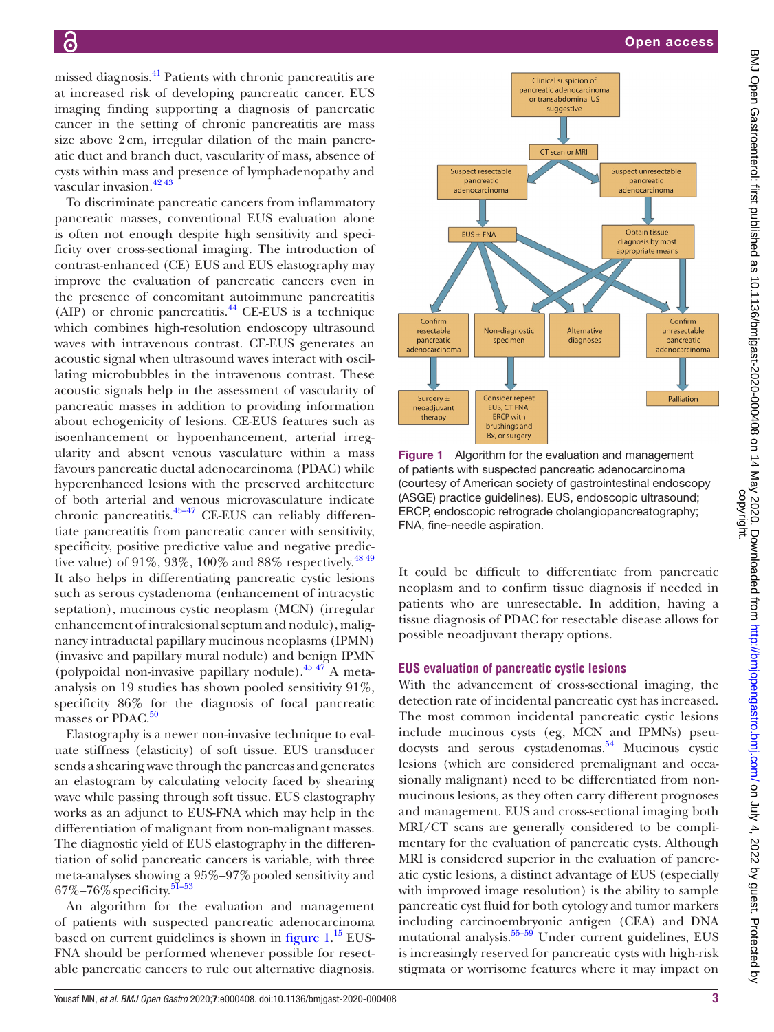missed diagnosis.<sup>[41](#page-8-15)</sup> Patients with chronic pancreatitis are at increased risk of developing pancreatic cancer. EUS imaging finding supporting a diagnosis of pancreatic cancer in the setting of chronic pancreatitis are mass size above 2cm, irregular dilation of the main pancreatic duct and branch duct, vascularity of mass, absence of cysts within mass and presence of lymphadenopathy and vascular invasion.<sup>[42 43](#page-8-16)</sup>

To discriminate pancreatic cancers from inflammatory pancreatic masses, conventional EUS evaluation alone is often not enough despite high sensitivity and specificity over cross-sectional imaging. The introduction of contrast-enhanced (CE) EUS and EUS elastography may improve the evaluation of pancreatic cancers even in the presence of concomitant autoimmune pancreatitis (AIP) or chronic pancreatitis. $44$  CE-EUS is a technique which combines high-resolution endoscopy ultrasound waves with intravenous contrast. CE-EUS generates an acoustic signal when ultrasound waves interact with oscillating microbubbles in the intravenous contrast. These acoustic signals help in the assessment of vascularity of pancreatic masses in addition to providing information about echogenicity of lesions. CE-EUS features such as isoenhancement or hypoenhancement, arterial irregularity and absent venous vasculature within a mass favours pancreatic ductal adenocarcinoma (PDAC) while hyperenhanced lesions with the preserved architecture of both arterial and venous microvasculature indicate chronic pancreatitis.[45–47](#page-8-18) CE-EUS can reliably differentiate pancreatitis from pancreatic cancer with sensitivity, specificity, positive predictive value and negative predictive value) of  $91\%$ ,  $93\%$ ,  $100\%$  and  $88\%$  respectively.<sup>[48 49](#page-8-19)</sup> It also helps in differentiating pancreatic cystic lesions such as serous cystadenoma (enhancement of intracystic septation), mucinous cystic neoplasm (MCN) (irregular enhancement of intralesional septum and nodule), malignancy intraductal papillary mucinous neoplasms (IPMN) (invasive and papillary mural nodule) and benign IPMN (polypoidal non-invasive papillary nodule).[45 47](#page-8-18) A metaanalysis on 19 studies has shown pooled sensitivity 91%, specificity 86% for the diagnosis of focal pancreatic masses or PDAC.<sup>[50](#page-8-20)</sup>

Elastography is a newer non-invasive technique to evaluate stiffness (elasticity) of soft tissue. EUS transducer sends a shearing wave through the pancreas and generates an elastogram by calculating velocity faced by shearing wave while passing through soft tissue. EUS elastography works as an adjunct to EUS-FNA which may help in the differentiation of malignant from non-malignant masses. The diagnostic yield of EUS elastography in the differentiation of solid pancreatic cancers is variable, with three meta-analyses showing a 95%–97%pooled sensitivity and 67%–76% specificity. $5\overline{1}$ –53

An algorithm for the evaluation and management of patients with suspected pancreatic adenocarcinoma based on current guidelines is shown in [figure](#page-2-0) 1.<sup>15</sup> EUS-FNA should be performed whenever possible for resectable pancreatic cancers to rule out alternative diagnosis.



<span id="page-2-0"></span>**Figure 1** Algorithm for the evaluation and management of patients with suspected pancreatic adenocarcinoma (courtesy of American society of gastrointestinal endoscopy (ASGE) practice guidelines). EUS, endoscopic ultrasound; ERCP, endoscopic retrograde cholangiopancreatography; FNA, fine-needle aspiration.

It could be difficult to differentiate from pancreatic neoplasm and to confirm tissue diagnosis if needed in patients who are unresectable. In addition, having a tissue diagnosis of PDAC for resectable disease allows for possible neoadjuvant therapy options.

#### **EUS evaluation of pancreatic cystic lesions**

**ERCP** with

brushings and Bx, or surgery

neoadiuvant

therapy

With the advancement of cross-sectional imaging, the detection rate of incidental pancreatic cyst has increased. The most common incidental pancreatic cystic lesions include mucinous cysts (eg, MCN and IPMNs) pseudocysts and serous cystadenomas.<sup>54</sup> Mucinous cystic lesions (which are considered premalignant and occasionally malignant) need to be differentiated from nonmucinous lesions, as they often carry different prognoses and management. EUS and cross-sectional imaging both MRI/CT scans are generally considered to be complimentary for the evaluation of pancreatic cysts. Although MRI is considered superior in the evaluation of pancreatic cystic lesions, a distinct advantage of EUS (especially with improved image resolution) is the ability to sample pancreatic cyst fluid for both cytology and tumor markers including carcinoembryonic antigen (CEA) and DNA mutational analysis.<sup>55-59</sup> Under current guidelines, EUS is increasingly reserved for pancreatic cysts with high-risk stigmata or worrisome features where it may impact on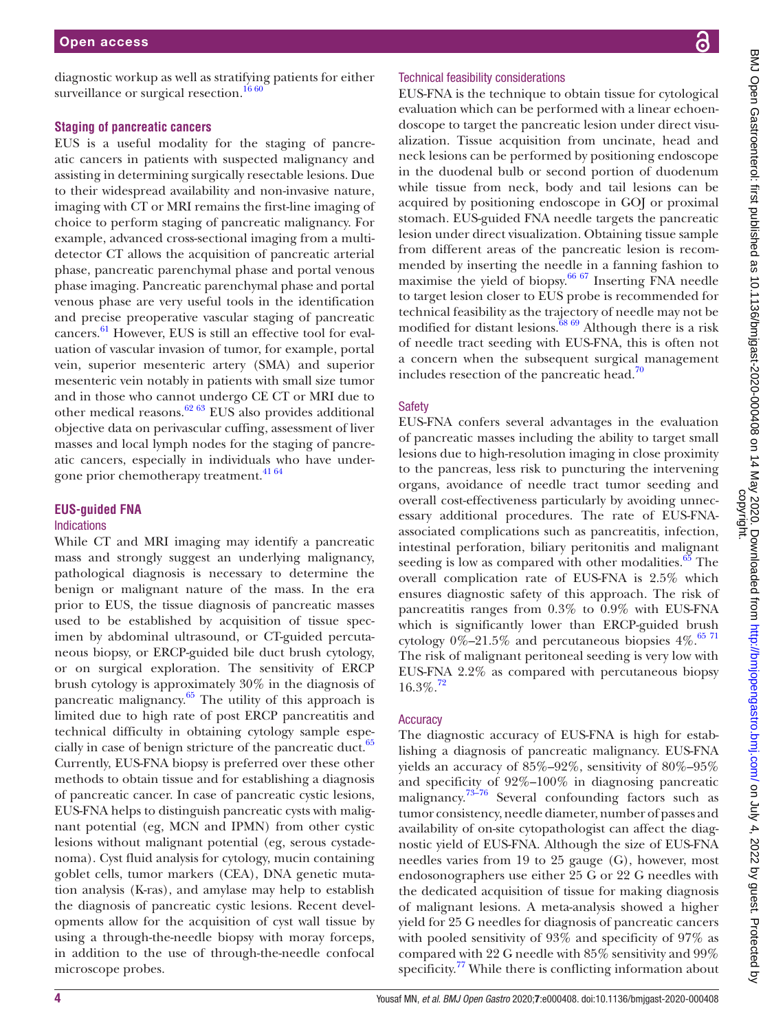diagnostic workup as well as stratifying patients for either surveillance or surgical resection. $1660$ 

#### **Staging of pancreatic cancers**

EUS is a useful modality for the staging of pancreatic cancers in patients with suspected malignancy and assisting in determining surgically resectable lesions. Due to their widespread availability and non-invasive nature, imaging with CT or MRI remains the first-line imaging of choice to perform staging of pancreatic malignancy. For example, advanced cross-sectional imaging from a multidetector CT allows the acquisition of pancreatic arterial phase, pancreatic parenchymal phase and portal venous phase imaging. Pancreatic parenchymal phase and portal venous phase are very useful tools in the identification and precise preoperative vascular staging of pancreatic cancers. [61](#page-8-24) However, EUS is still an effective tool for evaluation of vascular invasion of tumor, for example, portal vein, superior mesenteric artery (SMA) and superior mesenteric vein notably in patients with small size tumor and in those who cannot undergo CE CT or MRI due to other medical reasons[.62 63](#page-8-25) EUS also provides additional objective data on perivascular cuffing, assessment of liver masses and local lymph nodes for the staging of pancreatic cancers, especially in individuals who have undergone prior chemotherapy treatment.<sup>41 64</sup>

#### **EUS-guided FNA**

#### Indications

While CT and MRI imaging may identify a pancreatic mass and strongly suggest an underlying malignancy, pathological diagnosis is necessary to determine the benign or malignant nature of the mass. In the era prior to EUS, the tissue diagnosis of pancreatic masses used to be established by acquisition of tissue specimen by abdominal ultrasound, or CT-guided percutaneous biopsy, or ERCP-guided bile duct brush cytology, or on surgical exploration. The sensitivity of ERCP brush cytology is approximately 30% in the diagnosis of pancreatic malignancy.<sup>65</sup> The utility of this approach is limited due to high rate of post ERCP pancreatitis and technical difficulty in obtaining cytology sample espe-cially in case of benign stricture of the pancreatic duct.<sup>[65](#page-8-26)</sup> Currently, EUS-FNA biopsy is preferred over these other methods to obtain tissue and for establishing a diagnosis of pancreatic cancer. In case of pancreatic cystic lesions, EUS-FNA helps to distinguish pancreatic cysts with malignant potential (eg, MCN and IPMN) from other cystic lesions without malignant potential (eg, serous cystadenoma). Cyst fluid analysis for cytology, mucin containing goblet cells, tumor markers (CEA), DNA genetic mutation analysis (K-ras), and amylase may help to establish the diagnosis of pancreatic cystic lesions. Recent developments allow for the acquisition of cyst wall tissue by using a through-the-needle biopsy with moray forceps, in addition to the use of through-the-needle confocal microscope probes.

#### Technical feasibility considerations

EUS-FNA is the technique to obtain tissue for cytological evaluation which can be performed with a linear echoendoscope to target the pancreatic lesion under direct visualization. Tissue acquisition from uncinate, head and neck lesions can be performed by positioning endoscope in the duodenal bulb or second portion of duodenum while tissue from neck, body and tail lesions can be acquired by positioning endoscope in GOJ or proximal stomach. EUS-guided FNA needle targets the pancreatic lesion under direct visualization. Obtaining tissue sample from different areas of the pancreatic lesion is recommended by inserting the needle in a fanning fashion to maximise the yield of biopsy.<sup>[66 67](#page-8-27)</sup> Inserting FNA needle to target lesion closer to EUS probe is recommended for technical feasibility as the trajectory of needle may not be modified for distant lesions. $68\frac{69}{9}$  Although there is a risk of needle tract seeding with EUS-FNA, this is often not a concern when the subsequent surgical management includes resection of the pancreatic head.<sup>[70](#page-8-29)</sup>

#### **Safety**

EUS-FNA confers several advantages in the evaluation of pancreatic masses including the ability to target small lesions due to high-resolution imaging in close proximity to the pancreas, less risk to puncturing the intervening organs, avoidance of needle tract tumor seeding and overall cost-effectiveness particularly by avoiding unnecessary additional procedures. The rate of EUS-FNAassociated complications such as pancreatitis, infection, intestinal perforation, biliary peritonitis and malignant seeding is low as compared with other modalities.<sup>65</sup> The overall complication rate of EUS-FNA is 2.5% which ensures diagnostic safety of this approach. The risk of pancreatitis ranges from 0.3% to 0.9% with EUS-FNA which is significantly lower than ERCP-guided brush cytology  $0\%-21.5\%$  and percutaneous biopsies  $4\%$ .<sup>[65 71](#page-8-26)</sup> The risk of malignant peritoneal seeding is very low with EUS-FNA 2.2% as compared with percutaneous biopsy 16.3%.[72](#page-8-30)

#### **Accuracy**

The diagnostic accuracy of EUS-FNA is high for establishing a diagnosis of pancreatic malignancy. EUS-FNA yields an accuracy of 85%–92%, sensitivity of 80%–95% and specificity of 92%–100% in diagnosing pancreatic malignancy.<sup>73-76</sup> Several confounding factors such as tumor consistency, needle diameter, number of passes and availability of on-site cytopathologist can affect the diagnostic yield of EUS-FNA. Although the size of EUS-FNA needles varies from 19 to 25 gauge (G), however, most endosonographers use either 25 G or 22 G needles with the dedicated acquisition of tissue for making diagnosis of malignant lesions. A meta-analysis showed a higher yield for 25 G needles for diagnosis of pancreatic cancers with pooled sensitivity of 93% and specificity of 97% as compared with 22 G needle with 85% sensitivity and 99% specificity. $\frac{77}{2}$  While there is conflicting information about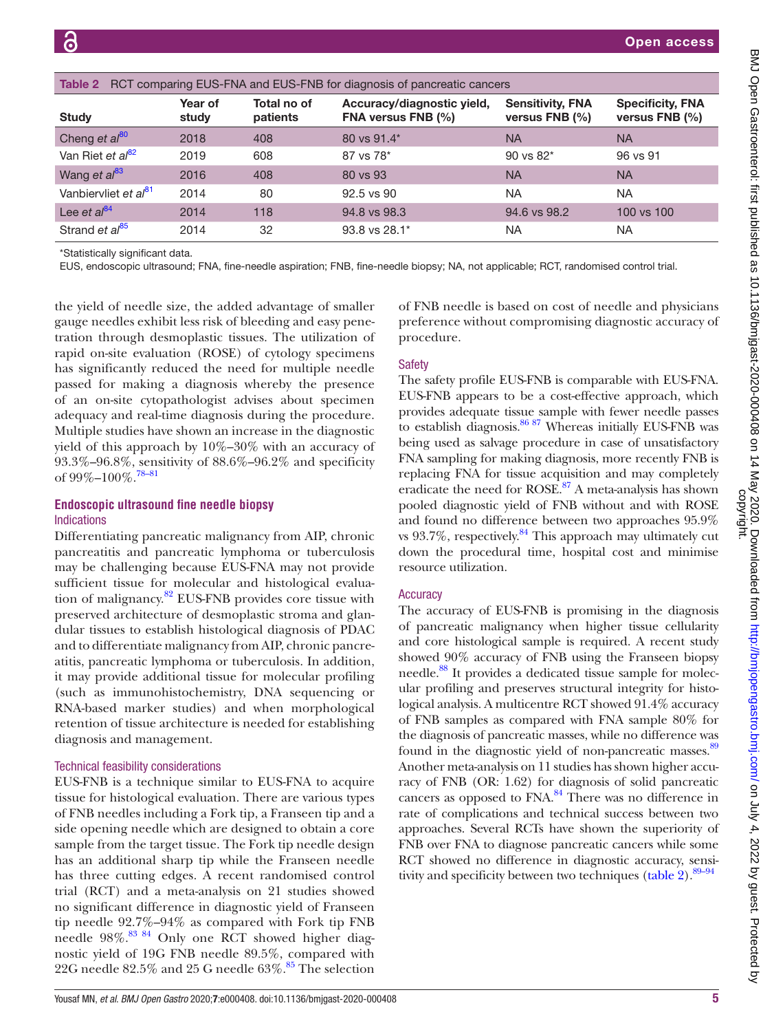<span id="page-4-0"></span>

| RCT comparing EUS-FNA and EUS-FNB for diagnosis of pancreatic cancers<br>Table 2 |                  |                         |                                                  |                                             |                                             |  |  |  |  |
|----------------------------------------------------------------------------------|------------------|-------------------------|--------------------------------------------------|---------------------------------------------|---------------------------------------------|--|--|--|--|
| <b>Study</b>                                                                     | Year of<br>study | Total no of<br>patients | Accuracy/diagnostic yield,<br>FNA versus FNB (%) | <b>Sensitivity, FNA</b><br>versus $FNB$ (%) | <b>Specificity, FNA</b><br>versus $FNB$ (%) |  |  |  |  |
| Cheng et $al^{80}$                                                               | 2018             | 408                     | 80 vs 91.4*                                      | <b>NA</b>                                   | <b>NA</b>                                   |  |  |  |  |
| Van Riet et al <sup>82</sup>                                                     | 2019             | 608                     | 87 vs 78*                                        | 90 vs $82*$                                 | 96 vs 91                                    |  |  |  |  |
| Wang et al <sup>83</sup>                                                         | 2016             | 408                     | 80 vs 93                                         | <b>NA</b>                                   | <b>NA</b>                                   |  |  |  |  |
| Vanbiervliet et al <sup>81</sup>                                                 | 2014             | 80                      | 92.5 vs 90                                       | <b>NA</b>                                   | <b>NA</b>                                   |  |  |  |  |
| Lee et $al^{84}$                                                                 | 2014             | 118                     | 94.8 vs 98.3                                     | 94.6 vs 98.2                                | 100 ys 100                                  |  |  |  |  |
| Strand et al <sup>85</sup>                                                       | 2014             | 32                      | 93.8 vs 28.1*                                    | <b>NA</b>                                   | <b>NA</b>                                   |  |  |  |  |

\*Statistically significant data.

EUS, endoscopic ultrasound; FNA, fine-needle aspiration; FNB, fine-needle biopsy; NA, not applicable; RCT, randomised control trial.

the yield of needle size, the added advantage of smaller gauge needles exhibit less risk of bleeding and easy penetration through desmoplastic tissues. The utilization of rapid on-site evaluation (ROSE) of cytology specimens has significantly reduced the need for multiple needle passed for making a diagnosis whereby the presence of an on-site cytopathologist advises about specimen adequacy and real-time diagnosis during the procedure. Multiple studies have shown an increase in the diagnostic yield of this approach by 10%–30% with an accuracy of 93.3%–96.8%, sensitivity of 88.6%–96.2% and specificity of 99%–100%.[78–81](#page-9-8)

#### **Endoscopic ultrasound fine needle biopsy** Indications

Differentiating pancreatic malignancy from AIP, chronic pancreatitis and pancreatic lymphoma or tuberculosis may be challenging because EUS-FNA may not provide sufficient tissue for molecular and histological evalua-tion of malignancy.<sup>[82](#page-9-3)</sup> EUS-FNB provides core tissue with preserved architecture of desmoplastic stroma and glandular tissues to establish histological diagnosis of PDAC and to differentiate malignancy from AIP, chronic pancreatitis, pancreatic lymphoma or tuberculosis. In addition, it may provide additional tissue for molecular profiling (such as immunohistochemistry, DNA sequencing or RNA-based marker studies) and when morphological retention of tissue architecture is needed for establishing diagnosis and management.

#### Technical feasibility considerations

EUS-FNB is a technique similar to EUS-FNA to acquire tissue for histological evaluation. There are various types of FNB needles including a Fork tip, a Franseen tip and a side opening needle which are designed to obtain a core sample from the target tissue. The Fork tip needle design has an additional sharp tip while the Franseen needle has three cutting edges. A recent randomised control trial (RCT) and a meta-analysis on 21 studies showed no significant difference in diagnostic yield of Franseen tip needle 92.7%–94% as compared with Fork tip FNB needle  $98\%$ .<sup>[83 84](#page-9-4)</sup> Only one RCT showed higher diagnostic yield of 19G FNB needle 89.5%, compared with 22G needle  $82.5\%$  and  $25$  G needle  $63\%$ .<sup>[85](#page-9-7)</sup> The selection

of FNB needle is based on cost of needle and physicians preference without compromising diagnostic accuracy of procedure.

#### **Safety**

The safety profile EUS-FNB is comparable with EUS-FNA. EUS-FNB appears to be a cost-effective approach, which provides adequate tissue sample with fewer needle passes to establish diagnosis.<sup>86 87</sup> Whereas initially EUS-FNB was being used as salvage procedure in case of unsatisfactory FNA sampling for making diagnosis, more recently FNB is replacing FNA for tissue acquisition and may completely eradicate the need for ROSE.<sup>[87](#page-9-10)</sup> A meta-analysis has shown pooled diagnostic yield of FNB without and with ROSE and found no difference between two approaches 95.9% vs 93.7%, respectively.<sup>84</sup> This approach may ultimately cut down the procedural time, hospital cost and minimise resource utilization.

#### **Accuracy**

The accuracy of EUS-FNB is promising in the diagnosis of pancreatic malignancy when higher tissue cellularity and core histological sample is required. A recent study showed 90% accuracy of FNB using the Franseen biopsy needle.<sup>88</sup> It provides a dedicated tissue sample for molecular profiling and preserves structural integrity for histological analysis. A multicentre RCT showed 91.4% accuracy of FNB samples as compared with FNA sample 80% for the diagnosis of pancreatic masses, while no difference was found in the diagnostic yield of non-pancreatic masses.<sup>89</sup> Another meta-analysis on 11 studies has shown higher accuracy of FNB (OR: 1.62) for diagnosis of solid pancreatic cancers as opposed to FNA.<sup>84</sup> There was no difference in rate of complications and technical success between two approaches. Several RCTs have shown the superiority of FNB over FNA to diagnose pancreatic cancers while some RCT showed no difference in diagnostic accuracy, sensitivity and specificity between two techniques  $(\text{table 2})$ .<sup>89–94</sup>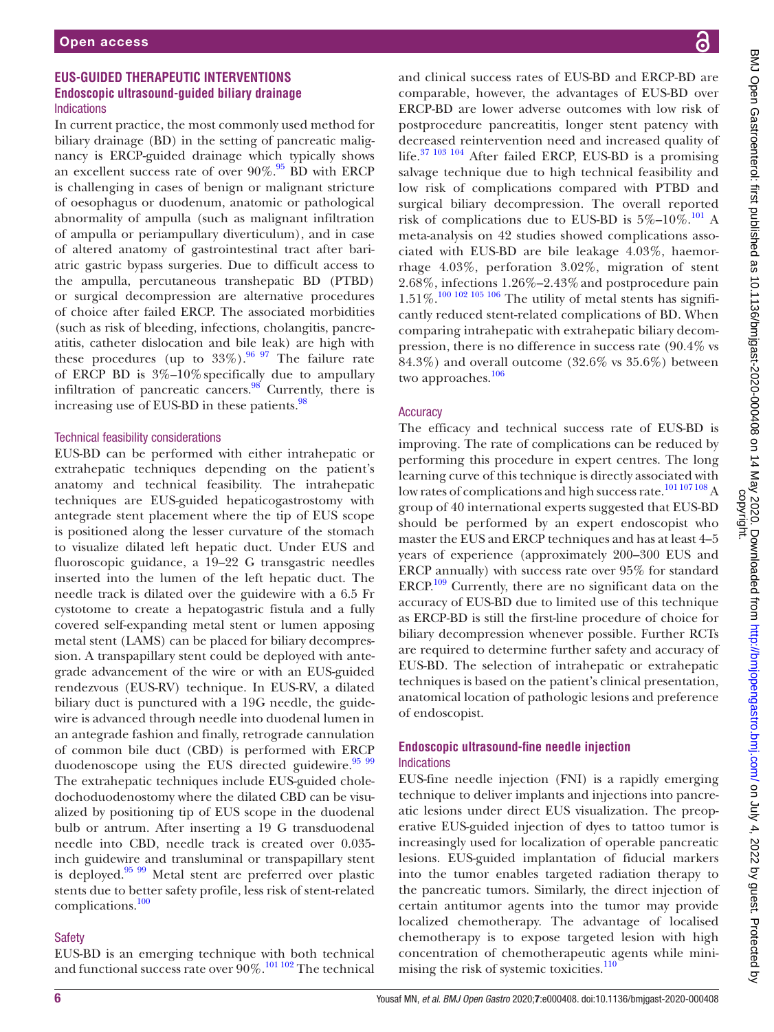#### **EUS-guided therapeutic interventions Endoscopic ultrasound-guided biliary drainage** Indications

In current practice, the most commonly used method for biliary drainage (BD) in the setting of pancreatic malignancy is ERCP-guided drainage which typically shows an excellent success rate of over  $90\%$ .<sup>[95](#page-9-13)</sup> BD with ERCP is challenging in cases of benign or malignant stricture of oesophagus or duodenum, anatomic or pathological abnormality of ampulla (such as malignant infiltration of ampulla or periampullary diverticulum), and in case of altered anatomy of gastrointestinal tract after bariatric gastric bypass surgeries. Due to difficult access to the ampulla, percutaneous transhepatic BD (PTBD) or surgical decompression are alternative procedures of choice after failed ERCP. The associated morbidities (such as risk of bleeding, infections, cholangitis, pancreatitis, catheter dislocation and bile leak) are high with these procedures (up to  $33\%$ ).<sup>96 97</sup> The failure rate of ERCP BD is  $3\%$ -10% specifically due to ampullary infiltration of pancreatic cancers. $\frac{98}{8}$  $\frac{98}{8}$  $\frac{98}{8}$  Currently, there is increasing use of EUS-BD in these patients.<sup>[98](#page-9-15)</sup>

#### Technical feasibility considerations

EUS-BD can be performed with either intrahepatic or extrahepatic techniques depending on the patient's anatomy and technical feasibility. The intrahepatic techniques are EUS-guided hepaticogastrostomy with antegrade stent placement where the tip of EUS scope is positioned along the lesser curvature of the stomach to visualize dilated left hepatic duct. Under EUS and fluoroscopic guidance, a 19–22 G transgastric needles inserted into the lumen of the left hepatic duct. The needle track is dilated over the guidewire with a 6.5 Fr cystotome to create a hepatogastric fistula and a fully covered self-expanding metal stent or lumen apposing metal stent (LAMS) can be placed for biliary decompression. A transpapillary stent could be deployed with antegrade advancement of the wire or with an EUS-guided rendezvous (EUS-RV) technique. In EUS-RV, a dilated biliary duct is punctured with a 19G needle, the guidewire is advanced through needle into duodenal lumen in an antegrade fashion and finally, retrograde cannulation of common bile duct (CBD) is performed with ERCP duodenoscope using the EUS directed guidewire.<sup>95 99</sup> The extrahepatic techniques include EUS-guided choledochoduodenostomy where the dilated CBD can be visualized by positioning tip of EUS scope in the duodenal bulb or antrum. After inserting a 19 G transduodenal needle into CBD, needle track is created over 0.035 inch guidewire and transluminal or transpapillary stent is deployed. $9599$  Metal stent are preferred over plastic stents due to better safety profile, less risk of stent-related complications[.100](#page-9-16)

#### Safety

EUS-BD is an emerging technique with both technical and functional success rate over  $90\%$ .<sup>[101 102](#page-9-17)</sup> The technical

and clinical success rates of EUS-BD and ERCP-BD are comparable, however, the advantages of EUS-BD over ERCP-BD are lower adverse outcomes with low risk of postprocedure pancreatitis, longer stent patency with decreased reintervention need and increased quality of life.[37 103 104](#page-8-12) After failed ERCP, EUS-BD is a promising salvage technique due to high technical feasibility and low risk of complications compared with PTBD and surgical biliary decompression. The overall reported risk of complications due to EUS-BD is  $5\%$ -10%.<sup>[101](#page-9-17)</sup> A meta-analysis on 42 studies showed complications associated with EUS-BD are bile leakage 4.03%, haemorrhage 4.03%, perforation 3.02%, migration of stent 2.68%, infections 1.26%–2.43%and postprocedure pain  $1.51\%$ .<sup>[100 102 105 106](#page-9-16)</sup> The utility of metal stents has significantly reduced stent-related complications of BD. When comparing intrahepatic with extrahepatic biliary decompression, there is no difference in success rate (90.4% vs 84.3%) and overall outcome  $(32.6\% \text{ vs } 35.6\%)$  between two approaches.<sup>[106](#page-9-18)</sup>

#### **Accuracy**

The efficacy and technical success rate of EUS-BD is improving. The rate of complications can be reduced by performing this procedure in expert centres. The long learning curve of this technique is directly associated with low rates of complications and high success rate.<sup>101 107 108</sup> A group of 40 international experts suggested that EUS-BD should be performed by an expert endoscopist who master the EUS and ERCP techniques and has at least 4–5 years of experience (approximately 200–300 EUS and ERCP annually) with success rate over 95% for standard ERCP. $109$  Currently, there are no significant data on the accuracy of EUS-BD due to limited use of this technique as ERCP-BD is still the first-line procedure of choice for biliary decompression whenever possible. Further RCTs are required to determine further safety and accuracy of EUS-BD. The selection of intrahepatic or extrahepatic techniques is based on the patient's clinical presentation, anatomical location of pathologic lesions and preference of endoscopist.

#### **Endoscopic ultrasound-fine needle injection** Indications

EUS-fine needle injection (FNI) is a rapidly emerging technique to deliver implants and injections into pancreatic lesions under direct EUS visualization. The preoperative EUS-guided injection of dyes to tattoo tumor is increasingly used for localization of operable pancreatic lesions. EUS-guided implantation of fiducial markers into the tumor enables targeted radiation therapy to the pancreatic tumors. Similarly, the direct injection of certain antitumor agents into the tumor may provide localized chemotherapy. The advantage of localised chemotherapy is to expose targeted lesion with high concentration of chemotherapeutic agents while minimising the risk of systemic toxicities.<sup>110</sup>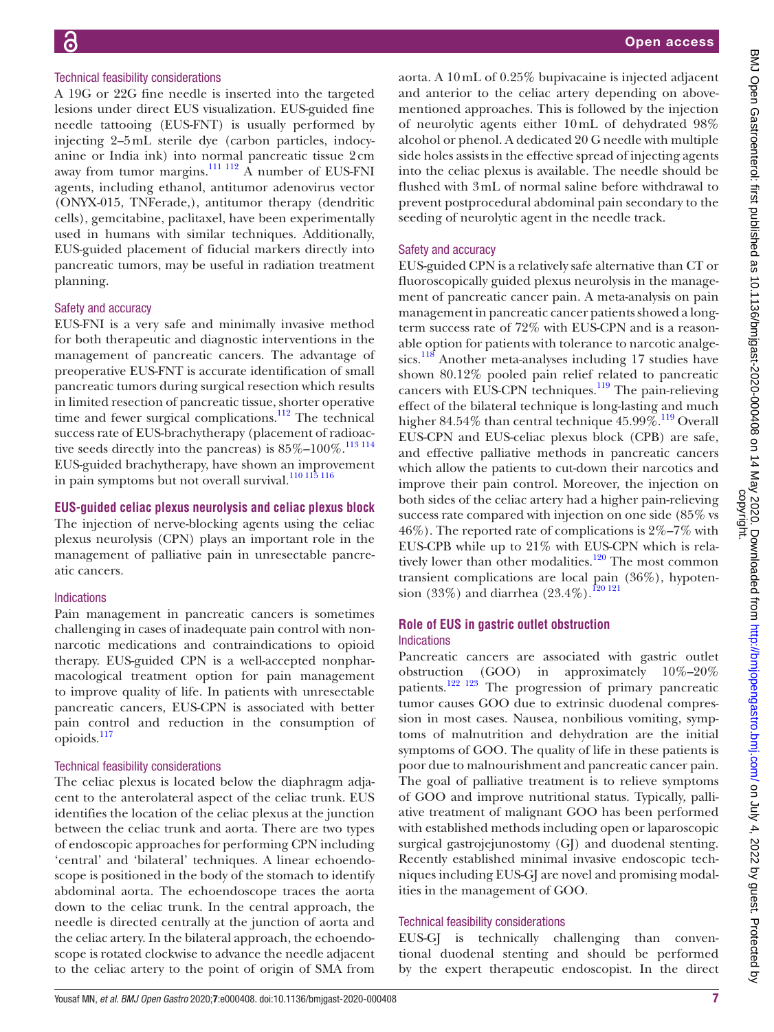#### Open access

Technical feasibility considerations

A 19G or 22G fine needle is inserted into the targeted lesions under direct EUS visualization. EUS-guided fine needle tattooing (EUS-FNT) is usually performed by injecting 2–5mL sterile dye (carbon particles, indocyanine or India ink) into normal pancreatic tissue 2cm away from tumor margins.<sup>111 112</sup> A number of EUS-FNI agents, including ethanol, antitumor adenovirus vector (ONYX-015, TNFerade,), antitumor therapy (dendritic cells), gemcitabine, paclitaxel, have been experimentally used in humans with similar techniques. Additionally, EUS-guided placement of fiducial markers directly into pancreatic tumors, may be useful in radiation treatment planning.

#### Safety and accuracy

EUS-FNI is a very safe and minimally invasive method for both therapeutic and diagnostic interventions in the management of pancreatic cancers. The advantage of preoperative EUS-FNT is accurate identification of small pancreatic tumors during surgical resection which results in limited resection of pancreatic tissue, shorter operative time and fewer surgical complications.<sup>112</sup> The technical success rate of EUS-brachytherapy (placement of radioactive seeds directly into the pancreas) is  $85\%$ -100%.<sup>[113 114](#page-9-23)</sup> EUS-guided brachytherapy, have shown an improvement in pain symptoms but not overall survival.<sup>110 115</sup> 116

#### **EUS-guided celiac plexus neurolysis and celiac plexus block**

The injection of nerve-blocking agents using the celiac plexus neurolysis (CPN) plays an important role in the management of palliative pain in unresectable pancreatic cancers.

#### Indications

Pain management in pancreatic cancers is sometimes challenging in cases of inadequate pain control with nonnarcotic medications and contraindications to opioid therapy. EUS-guided CPN is a well-accepted nonpharmacological treatment option for pain management to improve quality of life. In patients with unresectable pancreatic cancers, EUS-CPN is associated with better pain control and reduction in the consumption of opioids.<sup>[117](#page-9-24)</sup>

#### Technical feasibility considerations

The celiac plexus is located below the diaphragm adjacent to the anterolateral aspect of the celiac trunk. EUS identifies the location of the celiac plexus at the junction between the celiac trunk and aorta. There are two types of endoscopic approaches for performing CPN including 'central' and 'bilateral' techniques. A linear echoendoscope is positioned in the body of the stomach to identify abdominal aorta. The echoendoscope traces the aorta down to the celiac trunk. In the central approach, the needle is directed centrally at the junction of aorta and the celiac artery. In the bilateral approach, the echoendoscope is rotated clockwise to advance the needle adjacent to the celiac artery to the point of origin of SMA from

aorta. A 10mL of 0.25% bupivacaine is injected adjacent and anterior to the celiac artery depending on abovementioned approaches. This is followed by the injection of neurolytic agents either 10mL of dehydrated 98% alcohol or phenol. A dedicated 20 G needle with multiple side holes assists in the effective spread of injecting agents into the celiac plexus is available. The needle should be flushed with 3mL of normal saline before withdrawal to prevent postprocedural abdominal pain secondary to the seeding of neurolytic agent in the needle track.

#### Safety and accuracy

EUS-guided CPN is a relatively safe alternative than CT or fluoroscopically guided plexus neurolysis in the management of pancreatic cancer pain. A meta-analysis on pain management in pancreatic cancer patients showed a longterm success rate of 72% with EUS-CPN and is a reasonable option for patients with tolerance to narcotic analgesics.<sup>118</sup> Another meta-analyses including 17 studies have shown 80.12% pooled pain relief related to pancreatic cancers with EUS-CPN techniques.<sup>119</sup> The pain-relieving effect of the bilateral technique is long-lasting and much higher 84.54% than central technique  $45.99\%$ .<sup>[119](#page-10-0)</sup> Overall EUS-CPN and EUS-celiac plexus block (CPB) are safe, and effective palliative methods in pancreatic cancers which allow the patients to cut-down their narcotics and improve their pain control. Moreover, the injection on both sides of the celiac artery had a higher pain-relieving success rate compared with injection on one side (85% vs 46%). The reported rate of complications is 2%–7% with EUS-CPB while up to 21% with EUS-CPN which is relatively lower than other modalities. $120$  The most common transient complications are local pain (36%), hypoten-sion (33%) and diarrhea (23.4%).<sup>[120 121](#page-10-1)</sup>

#### **Role of EUS in gastric outlet obstruction** Indications

Pancreatic cancers are associated with gastric outlet obstruction (GOO) in approximately 10%–20% patients.[122 123](#page-10-2) The progression of primary pancreatic tumor causes GOO due to extrinsic duodenal compression in most cases. Nausea, nonbilious vomiting, symptoms of malnutrition and dehydration are the initial symptoms of GOO. The quality of life in these patients is poor due to malnourishment and pancreatic cancer pain. The goal of palliative treatment is to relieve symptoms of GOO and improve nutritional status. Typically, palliative treatment of malignant GOO has been performed with established methods including open or laparoscopic surgical gastrojejunostomy (GJ) and duodenal stenting. Recently established minimal invasive endoscopic techniques including EUS-GJ are novel and promising modalities in the management of GOO.

#### Technical feasibility considerations

EUS-GJ is technically challenging than conventional duodenal stenting and should be performed by the expert therapeutic endoscopist. In the direct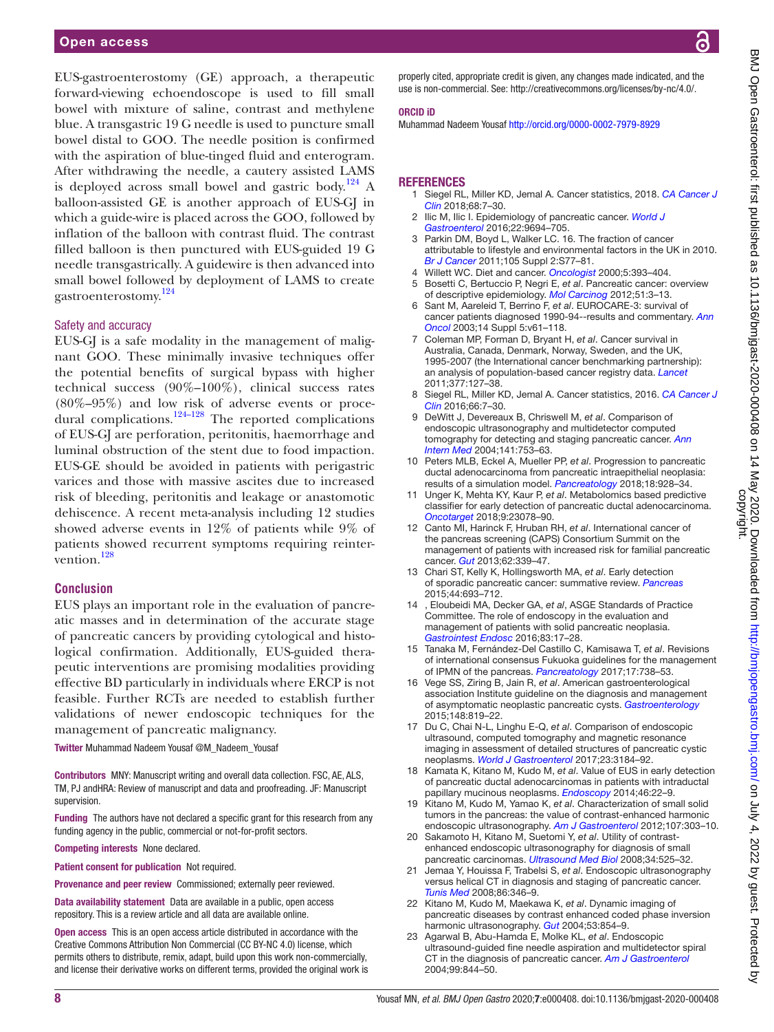EUS-gastroenterostomy (GE) approach, a therapeutic forward-viewing echoendoscope is used to fill small bowel with mixture of saline, contrast and methylene blue. A transgastric 19 G needle is used to puncture small bowel distal to GOO. The needle position is confirmed with the aspiration of blue-tinged fluid and enterogram. After withdrawing the needle, a cautery assisted LAMS is deployed across small bowel and gastric body.<sup>124</sup> A balloon-assisted GE is another approach of EUS-GJ in which a guide-wire is placed across the GOO, followed by inflation of the balloon with contrast fluid. The contrast filled balloon is then punctured with EUS-guided 19 G needle transgastrically. A guidewire is then advanced into small bowel followed by deployment of LAMS to create gastroenterostomy[.124](#page-10-3)

#### Safety and accuracy

EUS-GJ is a safe modality in the management of malignant GOO. These minimally invasive techniques offer the potential benefits of surgical bypass with higher technical success (90%–100%), clinical success rates (80%–95%) and low risk of adverse events or procedural complications.<sup>124–128</sup> The reported complications of EUS-GJ are perforation, peritonitis, haemorrhage and luminal obstruction of the stent due to food impaction. EUS-GE should be avoided in patients with perigastric varices and those with massive ascites due to increased risk of bleeding, peritonitis and leakage or anastomotic dehiscence. A recent meta-analysis including 12 studies showed adverse events in 12% of patients while 9% of patients showed recurrent symptoms requiring reinter-vention.<sup>[128](#page-10-4)</sup>

#### **Conclusion**

EUS plays an important role in the evaluation of pancreatic masses and in determination of the accurate stage of pancreatic cancers by providing cytological and histological confirmation. Additionally, EUS-guided therapeutic interventions are promising modalities providing effective BD particularly in individuals where ERCP is not feasible. Further RCTs are needed to establish further validations of newer endoscopic techniques for the management of pancreatic malignancy.

Twitter Muhammad Nadeem Yousaf [@M\\_Nadeem\\_Yousaf](https://twitter.com/M_Nadeem_Yousaf)

Contributors MNY: Manuscript writing and overall data collection. FSC, AE, ALS, TM, PJ andHRA: Review of manuscript and data and proofreading. JF: Manuscript supervision.

Funding The authors have not declared a specific grant for this research from any funding agency in the public, commercial or not-for-profit sectors.

Competing interests None declared.

Patient consent for publication Not required.

Provenance and peer review Commissioned; externally peer reviewed.

Data availability statement Data are available in a public, open access repository. This is a review article and all data are available online.

Open access This is an open access article distributed in accordance with the Creative Commons Attribution Non Commercial (CC BY-NC 4.0) license, which permits others to distribute, remix, adapt, build upon this work non-commercially, and license their derivative works on different terms, provided the original work is properly cited, appropriate credit is given, any changes made indicated, and the use is non-commercial. See:<http://creativecommons.org/licenses/by-nc/4.0/>.

#### ORCID iD

Muhammad Nadeem Yousaf <http://orcid.org/0000-0002-7979-8929>

#### <span id="page-7-0"></span>**REFERENCES**

- 1 Siegel RL, Miller KD, Jemal A. Cancer statistics, 2018. *[CA Cancer J](http://dx.doi.org/10.3322/caac.21442)  [Clin](http://dx.doi.org/10.3322/caac.21442)* 2018;68:7–30.
- <span id="page-7-1"></span>2 Ilic M, Ilic I. Epidemiology of pancreatic cancer. *[World J](http://dx.doi.org/10.3748/wjg.v22.i44.9694)  [Gastroenterol](http://dx.doi.org/10.3748/wjg.v22.i44.9694)* 2016;22:9694–705.
- <span id="page-7-2"></span>3 Parkin DM, Boyd L, Walker LC. 16. The fraction of cancer attributable to lifestyle and environmental factors in the UK in 2010. *[Br J Cancer](http://dx.doi.org/10.1038/bjc.2011.489)* 2011;105 Suppl 2:S77–81.
- 4 Willett WC. Diet and cancer. *[Oncologist](http://dx.doi.org/10.1634/theoncologist.5-5-393)* 2000;5:393–404.
- 5 Bosetti C, Bertuccio P, Negri E, *et al*. Pancreatic cancer: overview of descriptive epidemiology. *[Mol Carcinog](http://dx.doi.org/10.1002/mc.20785)* 2012;51:3–13.
- <span id="page-7-3"></span>6 Sant M, Aareleid T, Berrino F, *et al*. EUROCARE-3: survival of cancer patients diagnosed 1990-94--results and commentary. *[Ann](http://dx.doi.org/10.1093/annonc/mdg754)  [Oncol](http://dx.doi.org/10.1093/annonc/mdg754)* 2003;14 Suppl 5:v61–118.
- 7 Coleman MP, Forman D, Bryant H, *et al*. Cancer survival in Australia, Canada, Denmark, Norway, Sweden, and the UK, 1995-2007 (the International cancer benchmarking partnership): an analysis of population-based cancer registry data. *[Lancet](http://dx.doi.org/10.1016/S0140-6736(10)62231-3)* 2011;377:127–38.
- 8 Siegel RL, Miller KD, Jemal A. Cancer statistics, 2016. *[CA Cancer J](http://dx.doi.org/10.3322/caac.21332)  [Clin](http://dx.doi.org/10.3322/caac.21332)* 2016;66:7–30.
- <span id="page-7-12"></span>9 DeWitt J, Devereaux B, Chriswell M, *et al*. Comparison of endoscopic ultrasonography and multidetector computed tomography for detecting and staging pancreatic cancer. *[Ann](http://dx.doi.org/10.7326/0003-4819-141-10-200411160-00006)  [Intern Med](http://dx.doi.org/10.7326/0003-4819-141-10-200411160-00006)* 2004;141:753–63.
- <span id="page-7-4"></span>10 Peters MLB, Eckel A, Mueller PP, *et al*. Progression to pancreatic ductal adenocarcinoma from pancreatic intraepithelial neoplasia: results of a simulation model. *[Pancreatology](http://dx.doi.org/10.1016/j.pan.2018.07.009)* 2018;18:928–34.
- <span id="page-7-13"></span>11 Unger K, Mehta KY, Kaur P, *et al*. Metabolomics based predictive classifier for early detection of pancreatic ductal adenocarcinoma. *[Oncotarget](http://dx.doi.org/10.18632/oncotarget.25212)* 2018;9:23078–90.
- <span id="page-7-14"></span>12 Canto MI, Harinck F, Hruban RH, *et al*. International cancer of the pancreas screening (CAPS) Consortium Summit on the management of patients with increased risk for familial pancreatic cancer. *[Gut](http://dx.doi.org/10.1136/gutjnl-2012-303108)* 2013;62:339–47.
- <span id="page-7-15"></span>13 Chari ST, Kelly K, Hollingsworth MA, *et al*. Early detection of sporadic pancreatic cancer: summative review. *[Pancreas](http://dx.doi.org/10.1097/MPA.0000000000000368)* 2015;44:693–712.
- <span id="page-7-16"></span>14 , Eloubeidi MA, Decker GA, *et al*, ASGE Standards of Practice Committee. The role of endoscopy in the evaluation and management of patients with solid pancreatic neoplasia. *[Gastrointest Endosc](http://dx.doi.org/10.1016/j.gie.2015.09.009)* 2016;83:17–28.
- <span id="page-7-17"></span>15 Tanaka M, Fernández-Del Castillo C, Kamisawa T, *et al*. Revisions of international consensus Fukuoka guidelines for the management of IPMN of the pancreas. *[Pancreatology](http://dx.doi.org/10.1016/j.pan.2017.07.007)* 2017;17:738–53.
- <span id="page-7-18"></span>16 Vege SS, Ziring B, Jain R, *et al*. American gastroenterological association Institute guideline on the diagnosis and management of asymptomatic neoplastic pancreatic cysts. *[Gastroenterology](http://dx.doi.org/10.1053/j.gastro.2015.01.015)* 2015;148:819–22.
- <span id="page-7-5"></span>17 Du C, Chai N-L, Linghu E-Q, *et al*. Comparison of endoscopic ultrasound, computed tomography and magnetic resonance imaging in assessment of detailed structures of pancreatic cystic neoplasms. *[World J Gastroenterol](http://dx.doi.org/10.3748/wjg.v23.i17.3184)* 2017;23:3184–92.
- <span id="page-7-6"></span>18 Kamata K, Kitano M, Kudo M, *et al*. Value of EUS in early detection of pancreatic ductal adenocarcinomas in patients with intraductal papillary mucinous neoplasms. *[Endoscopy](http://dx.doi.org/10.1055/s-0033-1353603)* 2014;46:22–9.
- <span id="page-7-7"></span>19 Kitano M, Kudo M, Yamao K, *et al*. Characterization of small solid tumors in the pancreas: the value of contrast-enhanced harmonic endoscopic ultrasonography. *[Am J Gastroenterol](http://dx.doi.org/10.1038/ajg.2011.354)* 2012;107:303–10.
- <span id="page-7-8"></span>20 Sakamoto H, Kitano M, Suetomi Y, *et al*. Utility of contrastenhanced endoscopic ultrasonography for diagnosis of small pancreatic carcinomas. *[Ultrasound Med Biol](http://dx.doi.org/10.1016/j.ultrasmedbio.2007.09.018)* 2008;34:525–32.
- <span id="page-7-9"></span>21 Jemaa Y, Houissa F, Trabelsi S, *et al*. Endoscopic ultrasonography versus helical CT in diagnosis and staging of pancreatic cancer. *[Tunis Med](http://www.ncbi.nlm.nih.gov/pubmed/http://www.ncbi.nlm.nih.gov/pubmed/19476136)* 2008;86:346–9.
- <span id="page-7-10"></span>22 Kitano M, Kudo M, Maekawa K, *et al*. Dynamic imaging of pancreatic diseases by contrast enhanced coded phase inversion harmonic ultrasonography. *[Gut](http://dx.doi.org/10.1136/gut.2003.029934)* 2004;53:854–9.
- <span id="page-7-11"></span>23 Agarwal B, Abu-Hamda E, Molke KL, *et al*. Endoscopic ultrasound-guided fine needle aspiration and multidetector spiral CT in the diagnosis of pancreatic cancer. *[Am J Gastroenterol](http://dx.doi.org/10.1111/j.1572-0241.2004.04177.x)* 2004;99:844–50.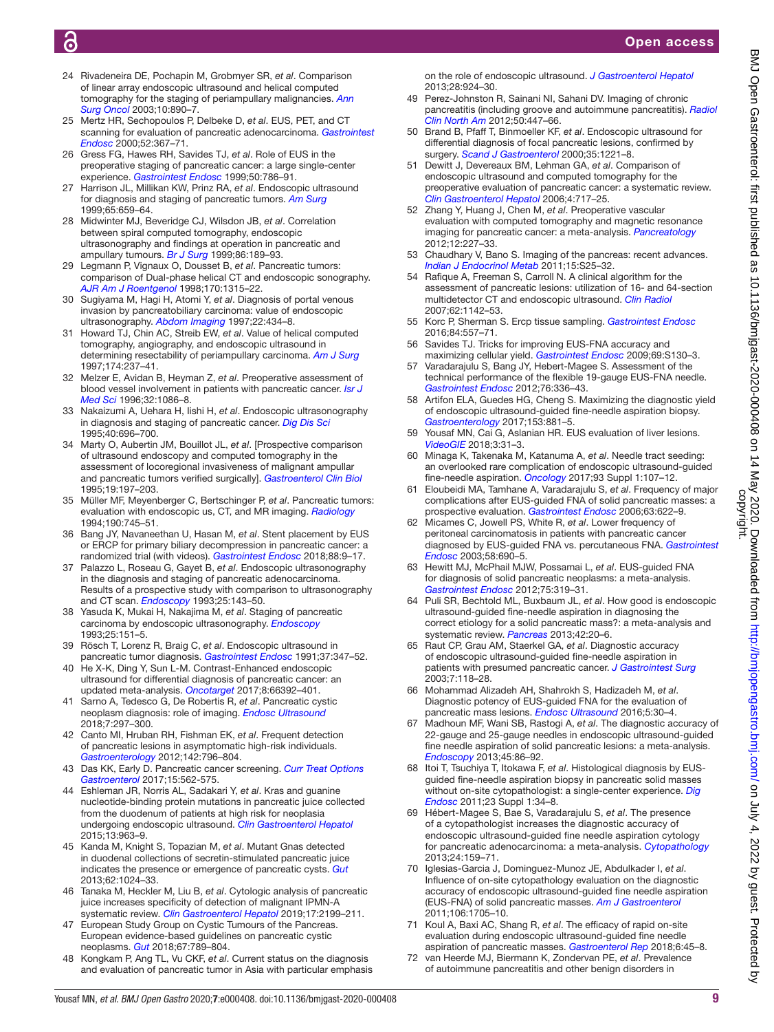- <span id="page-8-0"></span>24 Rivadeneira DE, Pochapin M, Grobmyer SR, *et al*. Comparison of linear array endoscopic ultrasound and helical computed tomography for the staging of periampullary malignancies. *[Ann](http://dx.doi.org/10.1245/aso.2003.03.555)  [Surg Oncol](http://dx.doi.org/10.1245/aso.2003.03.555)* 2003;10:890–7.
- <span id="page-8-1"></span>25 Mertz HR, Sechopoulos P, Delbeke D, *et al*. EUS, PET, and CT scanning for evaluation of pancreatic adenocarcinoma. *[Gastrointest](http://dx.doi.org/10.1067/mge.2000.107727) [Endosc](http://dx.doi.org/10.1067/mge.2000.107727)* 2000;52:367–71.
- <span id="page-8-2"></span>26 Gress FG, Hawes RH, Savides TJ, *et al*. Role of EUS in the preoperative staging of pancreatic cancer: a large single-center experience. *[Gastrointest Endosc](http://dx.doi.org/10.1016/s0016-5107(99)70159-8)* 1999;50:786–91.
- <span id="page-8-3"></span>27 Harrison JL, Millikan KW, Prinz RA, *et al*. Endoscopic ultrasound for diagnosis and staging of pancreatic tumors. *[Am Surg](http://dx.doi.org/10.1016/s0016-5085(98)85653-9)* 1999;65:659–64.
- <span id="page-8-4"></span>28 Midwinter MJ, Beveridge CJ, Wilsdon JB, *et al*. Correlation between spiral computed tomography, endoscopic ultrasonography and findings at operation in pancreatic and ampullary tumours. *[Br J Surg](http://dx.doi.org/10.1046/j.1365-2168.1999.01042.x)* 1999;86:189–93.
- <span id="page-8-5"></span>29 Legmann P, Vignaux O, Dousset B, *et al*. Pancreatic tumors: comparison of Dual-phase helical CT and endoscopic sonography. *[AJR Am J Roentgenol](http://dx.doi.org/10.2214/ajr.170.5.9574609)* 1998;170:1315–22.
- <span id="page-8-6"></span>30 Sugiyama M, Hagi H, Atomi Y, *et al*. Diagnosis of portal venous invasion by pancreatobiliary carcinoma: value of endoscopic ultrasonography. *[Abdom Imaging](http://dx.doi.org/10.1007/s002619900227)* 1997;22:434–8.
- <span id="page-8-7"></span>31 Howard TJ, Chin AC, Streib EW, *et al*. Value of helical computed tomography, angiography, and endoscopic ultrasound in determining resectability of periampullary carcinoma. *[Am J Surg](http://dx.doi.org/10.1016/s0002-9610(97)00132-3)* 1997;174:237–41.
- <span id="page-8-8"></span>32 Melzer E, Avidan B, Heyman Z, *et al*. Preoperative assessment of blood vessel involvement in patients with pancreatic cancer. *[Isr J](http://www.ncbi.nlm.nih.gov/pubmed/http://www.ncbi.nlm.nih.gov/pubmed/8960077)  [Med Sci](http://www.ncbi.nlm.nih.gov/pubmed/http://www.ncbi.nlm.nih.gov/pubmed/8960077)* 1996;32:1086–8.
- <span id="page-8-9"></span>33 Nakaizumi A, Uehara H, Iishi H, *et al*. Endoscopic ultrasonography in diagnosis and staging of pancreatic cancer. *[Dig Dis Sci](http://dx.doi.org/10.1007/bf02064392)* 1995;40:696–700.
- <span id="page-8-10"></span>34 Marty O, Aubertin JM, Bouillot JL, *et al*. [Prospective comparison of ultrasound endoscopy and computed tomography in the assessment of locoregional invasiveness of malignant ampullar and pancreatic tumors verified surgically]. *[Gastroenterol Clin Biol](http://www.ncbi.nlm.nih.gov/pubmed/http://www.ncbi.nlm.nih.gov/pubmed/7750710)* 1995;19:197–203.
- <span id="page-8-11"></span>35 Müller MF, Meyenberger C, Bertschinger P, *et al*. Pancreatic tumors: evaluation with endoscopic us, CT, and MR imaging. *[Radiology](http://dx.doi.org/10.1148/radiology.190.3.8115622)* 1994;190:745–51.
- 36 Bang JY, Navaneethan U, Hasan M, *et al*. Stent placement by EUS or ERCP for primary biliary decompression in pancreatic cancer: a randomized trial (with videos). *[Gastrointest Endosc](http://dx.doi.org/10.1016/j.gie.2018.03.012)* 2018;88:9–17.
- <span id="page-8-12"></span>37 Palazzo L, Roseau G, Gayet B, *et al*. Endoscopic ultrasonography in the diagnosis and staging of pancreatic adenocarcinoma. Results of a prospective study with comparison to ultrasonography and CT scan. *[Endoscopy](http://dx.doi.org/10.1055/s-2007-1010273)* 1993;25:143–50.
- <span id="page-8-13"></span>Yasuda K, Mukai H, Nakajima M, et al. Staging of pancreatic carcinoma by endoscopic ultrasonography. *[Endoscopy](http://dx.doi.org/10.1055/s-2007-1010274)* 1993;25:151–5.
- <span id="page-8-14"></span>39 Rösch T, Lorenz R, Braig C, *et al*. Endoscopic ultrasound in pancreatic tumor diagnosis. *[Gastrointest Endosc](http://dx.doi.org/10.1016/s0016-5107(91)70729-3)* 1991;37:347–52.
- 40 He X-K, Ding Y, Sun L-M. Contrast-Enhanced endoscopic ultrasound for differential diagnosis of pancreatic cancer: an updated meta-analysis. *[Oncotarget](http://dx.doi.org/10.18632/oncotarget.18915)* 2017;8:66392–401.
- <span id="page-8-15"></span>41 Sarno A, Tedesco G, De Robertis R, *et al*. Pancreatic cystic neoplasm diagnosis: role of imaging. *[Endosc Ultrasound](http://dx.doi.org/10.4103/eus.eus_38_18)* 2018;7:297–300.
- <span id="page-8-16"></span>42 Canto MI, Hruban RH, Fishman EK, *et al*. Frequent detection of pancreatic lesions in asymptomatic high-risk individuals. *[Gastroenterology](http://dx.doi.org/10.1053/j.gastro.2012.01.005)* 2012;142:796–804.
- 43 Das KK, Early D. Pancreatic cancer screening. *[Curr Treat Options](http://dx.doi.org/10.1007/s11938-017-0149-8)  [Gastroenterol](http://dx.doi.org/10.1007/s11938-017-0149-8)* 2017;15:562-575.
- <span id="page-8-17"></span>44 Eshleman JR, Norris AL, Sadakari Y, *et al*. Kras and guanine nucleotide-binding protein mutations in pancreatic juice collected from the duodenum of patients at high risk for neoplasia undergoing endoscopic ultrasound. *[Clin Gastroenterol Hepatol](http://dx.doi.org/10.1016/j.cgh.2014.11.028)* 2015;13:963–9.
- <span id="page-8-18"></span>45 Kanda M, Knight S, Topazian M, *et al*. Mutant Gnas detected in duodenal collections of secretin-stimulated pancreatic juice indicates the presence or emergence of pancreatic cysts. *[Gut](http://dx.doi.org/10.1136/gutjnl-2012-302823)* 2013;62:1024–33.
- 46 Tanaka M, Heckler M, Liu B, *et al*. Cytologic analysis of pancreatic juice increases specificity of detection of malignant IPMN-A systematic review. *[Clin Gastroenterol Hepatol](http://dx.doi.org/10.1016/j.cgh.2018.12.034)* 2019;17:2199–211.
- 47 European Study Group on Cystic Tumours of the Pancreas. European evidence-based guidelines on pancreatic cystic neoplasms. *[Gut](http://dx.doi.org/10.1136/gutjnl-2018-316027)* 2018;67:789–804.
- <span id="page-8-19"></span>48 Kongkam P, Ang TL, Vu CKF, *et al*. Current status on the diagnosis and evaluation of pancreatic tumor in Asia with particular emphasis

on the role of endoscopic ultrasound. *[J Gastroenterol Hepatol](http://dx.doi.org/10.1111/jgh.12198)* 2013;28:924–30.

- 49 Perez-Johnston R, Sainani NI, Sahani DV. Imaging of chronic pancreatitis (including groove and autoimmune pancreatitis). *[Radiol](http://dx.doi.org/10.1016/j.rcl.2012.03.005)  [Clin North Am](http://dx.doi.org/10.1016/j.rcl.2012.03.005)* 2012;50:447–66.
- <span id="page-8-20"></span>50 Brand B, Pfaff T, Binmoeller KF, *et al*. Endoscopic ultrasound for differential diagnosis of focal pancreatic lesions, confirmed by surgery. *[Scand J Gastroenterol](http://dx.doi.org/10.1080/003655200750056736)* 2000;35:1221–8.
- <span id="page-8-21"></span>51 Dewitt J, Devereaux BM, Lehman GA, *et al*. Comparison of endoscopic ultrasound and computed tomography for the preoperative evaluation of pancreatic cancer: a systematic review. *[Clin Gastroenterol Hepatol](http://dx.doi.org/10.1016/j.cgh.2006.02.020)* 2006;4:717–25.
- 52 Zhang Y, Huang J, Chen M, *et al*. Preoperative vascular evaluation with computed tomography and magnetic resonance imaging for pancreatic cancer: a meta-analysis. *[Pancreatology](http://dx.doi.org/10.1016/j.pan.2012.03.057)* 2012;12:227–33.
- 53 Chaudhary V, Bano S. Imaging of the pancreas: recent advances. *[Indian J Endocrinol Metab](http://dx.doi.org/10.4103/2230-8210.83060)* 2011;15:S25–32.
- <span id="page-8-22"></span>54 Rafique A, Freeman S, Carroll N. A clinical algorithm for the assessment of pancreatic lesions: utilization of 16- and 64-section multidetector CT and endoscopic ultrasound. *[Clin Radiol](http://dx.doi.org/10.1016/j.crad.2007.05.006)* 2007;62:1142–53.
- <span id="page-8-23"></span>55 Korc P, Sherman S. Ercp tissue sampling. *[Gastrointest Endosc](http://dx.doi.org/10.1016/j.gie.2016.04.039)* 2016;84:557–71.
- 56 Savides TJ. Tricks for improving EUS-FNA accuracy and maximizing cellular yield. *[Gastrointest Endosc](http://dx.doi.org/10.1016/j.gie.2008.12.018)* 2009;69:S130–3.
- 57 Varadarajulu S, Bang JY, Hebert-Magee S. Assessment of the technical performance of the flexible 19-gauge EUS-FNA needle. *[Gastrointest Endosc](http://dx.doi.org/10.1016/j.gie.2012.04.455)* 2012;76:336–43.
- 58 Artifon ELA, Guedes HG, Cheng S. Maximizing the diagnostic yield of endoscopic ultrasound-guided fine-needle aspiration biopsy. *[Gastroenterology](http://dx.doi.org/10.1053/j.gastro.2017.08.058)* 2017;153:881–5.
- Yousaf MN, Cai G, Aslanian HR. EUS evaluation of liver lesions. *[VideoGIE](http://dx.doi.org/10.1016/j.vgie.2017.09.012)* 2018;3:31–3.
- 60 Minaga K, Takenaka M, Katanuma A, *et al*. Needle tract seeding: an overlooked rare complication of endoscopic ultrasound-guided fine-needle aspiration. *[Oncology](http://dx.doi.org/10.1159/000481235)* 2017;93 Suppl 1:107–12.
- <span id="page-8-24"></span>61 Eloubeidi MA, Tamhane A, Varadarajulu S, *et al*. Frequency of major complications after EUS-guided FNA of solid pancreatic masses: a prospective evaluation. *[Gastrointest Endosc](http://dx.doi.org/10.1016/j.gie.2005.05.024)* 2006;63:622–9.
- <span id="page-8-25"></span>62 Micames C, Jowell PS, White R, *et al*. Lower frequency of peritoneal carcinomatosis in patients with pancreatic cancer diagnosed by EUS-guided FNA vs. percutaneous FNA. *[Gastrointest](http://dx.doi.org/10.1016/s0016-5107(03)02009-1) [Endosc](http://dx.doi.org/10.1016/s0016-5107(03)02009-1)* 2003;58:690–5.
- 63 Hewitt MJ, McPhail MJW, Possamai L, *et al*. EUS-guided FNA for diagnosis of solid pancreatic neoplasms: a meta-analysis. *[Gastrointest Endosc](http://dx.doi.org/10.1016/j.gie.2011.08.049)* 2012;75:319–31.
- 64 Puli SR, Bechtold ML, Buxbaum JL, *et al*. How good is endoscopic ultrasound-guided fine-needle aspiration in diagnosing the correct etiology for a solid pancreatic mass?: a meta-analysis and systematic review. *[Pancreas](http://dx.doi.org/10.1097/MPA.0b013e3182546e79)* 2013;42:20–6.
- <span id="page-8-26"></span>65 Raut CP, Grau AM, Staerkel GA, *et al*. Diagnostic accuracy of endoscopic ultrasound-guided fine-needle aspiration in patients with presumed pancreatic cancer. *[J Gastrointest Surg](http://dx.doi.org/10.1016/S1091-255X(02)00150-6)* 2003;7:118–28.
- <span id="page-8-27"></span>66 Mohammad Alizadeh AH, Shahrokh S, Hadizadeh M, *et al*. Diagnostic potency of EUS-guided FNA for the evaluation of pancreatic mass lesions. *[Endosc Ultrasound](http://dx.doi.org/10.4103/2303-9027.175879)* 2016;5:30–4.
- 67 Madhoun MF, Wani SB, Rastogi A, *et al*. The diagnostic accuracy of 22-gauge and 25-gauge needles in endoscopic ultrasound-guided fine needle aspiration of solid pancreatic lesions: a meta-analysis. *[Endoscopy](http://dx.doi.org/10.1055/s-0032-1325992)* 2013;45:86–92.
- <span id="page-8-28"></span>68 Itoi T, Tsuchiya T, Itokawa F, *et al*. Histological diagnosis by EUSguided fine-needle aspiration biopsy in pancreatic solid masses without on-site cytopathologist: a single-center experience. *[Dig](http://dx.doi.org/10.1111/j.1443-1661.2011.01142.x)  [Endosc](http://dx.doi.org/10.1111/j.1443-1661.2011.01142.x)* 2011;23 Suppl 1:34–8.
- 69 Hébert-Magee S, Bae S, Varadarajulu S, *et al*. The presence of a cytopathologist increases the diagnostic accuracy of endoscopic ultrasound-guided fine needle aspiration cytology for pancreatic adenocarcinoma: a meta-analysis. *[Cytopathology](http://dx.doi.org/10.1111/cyt.12071)* 2013;24:159–71.
- <span id="page-8-29"></span>70 Iglesias-Garcia J, Dominguez-Munoz JE, Abdulkader I, *et al*. Influence of on-site cytopathology evaluation on the diagnostic accuracy of endoscopic ultrasound-guided fine needle aspiration (EUS-FNA) of solid pancreatic masses. *[Am J Gastroenterol](http://dx.doi.org/10.1038/ajg.2011.119)* 2011;106:1705–10.
- 71 Koul A, Baxi AC, Shang R, *et al*. The efficacy of rapid on-site evaluation during endoscopic ultrasound-guided fine needle aspiration of pancreatic masses. *[Gastroenterol Rep](http://dx.doi.org/10.1093/gastro/gox017)* 2018;6:45–8.
- <span id="page-8-30"></span>72 van Heerde MJ, Biermann K, Zondervan PE, *et al*. Prevalence of autoimmune pancreatitis and other benign disorders in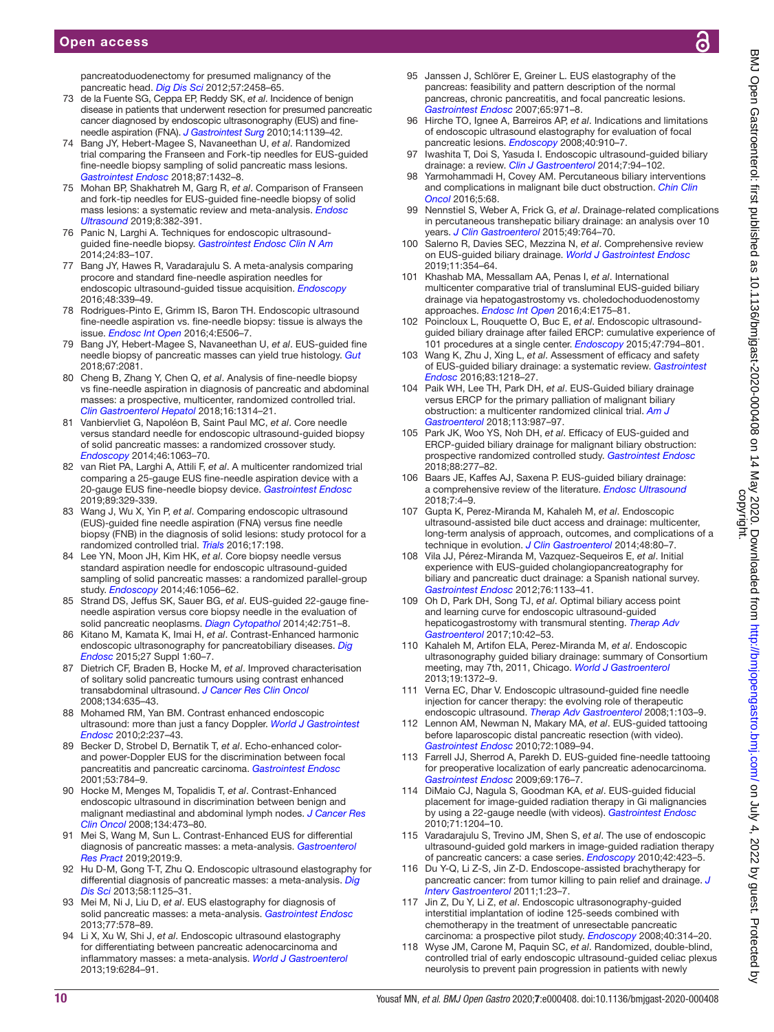pancreatoduodenectomy for presumed malignancy of the pancreatic head. *[Dig Dis Sci](http://dx.doi.org/10.1007/s10620-012-2191-7)* 2012;57:2458–65.

- <span id="page-9-0"></span>73 de la Fuente SG, Ceppa EP, Reddy SK, *et al*. Incidence of benign disease in patients that underwent resection for presumed pancreatic cancer diagnosed by endoscopic ultrasonography (EUS) and fineneedle aspiration (FNA). *[J Gastrointest Surg](http://dx.doi.org/10.1007/s11605-010-1196-9)* 2010;14:1139–42.
- 74 Bang JY, Hebert-Magee S, Navaneethan U, *et al*. Randomized trial comparing the Franseen and Fork-tip needles for EUS-guided fine-needle biopsy sampling of solid pancreatic mass lesions. *[Gastrointest Endosc](http://dx.doi.org/10.1016/j.gie.2017.11.036)* 2018;87:1432–8.
- 75 Mohan BP, Shakhatreh M, Garg R, *et al*. Comparison of Franseen and fork-tip needles for EUS-guided fine-needle biopsy of solid mass lesions: a systematic review and meta-analysis. *[Endosc](http://dx.doi.org/10.4103/eus.eus_27_19)  [Ultrasound](http://dx.doi.org/10.4103/eus.eus_27_19)* 2019;8:382-391.
- 76 Panic N, Larghi A. Techniques for endoscopic ultrasoundguided fine-needle biopsy. *[Gastrointest Endosc Clin N Am](http://dx.doi.org/10.1016/j.giec.2013.08.010)* 2014;24:83–107.
- <span id="page-9-1"></span>77 Bang JY, Hawes R, Varadarajulu S. A meta-analysis comparing procore and standard fine-needle aspiration needles for endoscopic ultrasound-guided tissue acquisition. *[Endoscopy](http://dx.doi.org/10.1055/s-0034-1393354)* 2016;48:339–49.
- <span id="page-9-8"></span>78 Rodrigues-Pinto E, Grimm IS, Baron TH. Endoscopic ultrasound fine-needle aspiration vs. fine-needle biopsy: tissue is always the issue. *[Endosc Int Open](http://dx.doi.org/10.1055/s-0041-110952)* 2016;4:E506–7.
- 79 Bang JY, Hebert-Magee S, Navaneethan U, *et al*. EUS-guided fine needle biopsy of pancreatic masses can yield true histology. *[Gut](http://dx.doi.org/10.1136/gutjnl-2017-315154)* 2018;67:2081.
- <span id="page-9-2"></span>80 Cheng B, Zhang Y, Chen Q, *et al*. Analysis of fine-needle biopsy vs fine-needle aspiration in diagnosis of pancreatic and abdominal masses: a prospective, multicenter, randomized controlled trial. *[Clin Gastroenterol Hepatol](http://dx.doi.org/10.1016/j.cgh.2017.07.010)* 2018;16:1314–21.
- <span id="page-9-5"></span>81 Vanbiervliet G, Napoléon B, Saint Paul MC, *et al*. Core needle versus standard needle for endoscopic ultrasound-guided biopsy of solid pancreatic masses: a randomized crossover study. *[Endoscopy](http://dx.doi.org/10.1055/s-0034-1377559)* 2014;46:1063–70.
- <span id="page-9-3"></span>82 van Riet PA, Larghi A, Attili F, *et al*. A multicenter randomized trial comparing a 25-gauge EUS fine-needle aspiration device with a 20-gauge EUS fine-needle biopsy device. *[Gastrointest Endosc](http://dx.doi.org/10.1016/j.gie.2018.10.026)* 2019;89:329-339.
- <span id="page-9-4"></span>83 Wang J, Wu X, Yin P, *et al*. Comparing endoscopic ultrasound (EUS)-guided fine needle aspiration (FNA) versus fine needle biopsy (FNB) in the diagnosis of solid lesions: study protocol for a randomized controlled trial. *[Trials](http://dx.doi.org/10.1186/s13063-016-1316-2)* 2016;17:198.
- <span id="page-9-6"></span>84 Lee YN, Moon JH, Kim HK, *et al*. Core biopsy needle versus standard aspiration needle for endoscopic ultrasound-guided sampling of solid pancreatic masses: a randomized parallel-group study. *[Endoscopy](http://dx.doi.org/10.1055/s-0034-1377558)* 2014;46:1056–62.
- <span id="page-9-7"></span>85 Strand DS, Jeffus SK, Sauer BG, *et al*. EUS-guided 22-gauge fineneedle aspiration versus core biopsy needle in the evaluation of solid pancreatic neoplasms. *[Diagn Cytopathol](http://dx.doi.org/10.1002/dc.23116)* 2014;42:751–8.
- <span id="page-9-9"></span>86 Kitano M, Kamata K, Imai H, *et al*. Contrast-Enhanced harmonic endoscopic ultrasonography for pancreatobiliary diseases. *[Dig](http://dx.doi.org/10.1111/den.12454)  [Endosc](http://dx.doi.org/10.1111/den.12454)* 2015;27 Suppl 1:60–7.
- <span id="page-9-10"></span>87 Dietrich CF, Braden B, Hocke M, *et al*. Improved characterisation of solitary solid pancreatic tumours using contrast enhanced transabdominal ultrasound. *[J Cancer Res Clin Oncol](http://dx.doi.org/10.1007/s00432-007-0326-6)* 2008;134:635–43.
- <span id="page-9-11"></span>88 Mohamed RM, Yan BM. Contrast enhanced endoscopic ultrasound: more than just a fancy Doppler. *[World J Gastrointest](http://dx.doi.org/10.4253/wjge.v2.i7.237)  [Endosc](http://dx.doi.org/10.4253/wjge.v2.i7.237)* 2010;2:237–43.
- <span id="page-9-12"></span>89 Becker D, Strobel D, Bernatik T, *et al*. Echo-enhanced colorand power-Doppler EUS for the discrimination between focal pancreatitis and pancreatic carcinoma. *[Gastrointest Endosc](http://dx.doi.org/10.1067/mge.2001.115007)* 2001;53:784–9.
- 90 Hocke M, Menges M, Topalidis T, *et al*. Contrast-Enhanced endoscopic ultrasound in discrimination between benign and malignant mediastinal and abdominal lymph nodes. *[J Cancer Res](http://dx.doi.org/10.1007/s00432-007-0309-7)  [Clin Oncol](http://dx.doi.org/10.1007/s00432-007-0309-7)* 2008;134:473–80.
- 91 Mei S, Wang M, Sun L. Contrast-Enhanced EUS for differential diagnosis of pancreatic masses: a meta-analysis. *[Gastroenterol](http://dx.doi.org/10.1155/2019/1670183)  [Res Pract](http://dx.doi.org/10.1155/2019/1670183)* 2019;2019:9.
- 92 Hu D-M, Gong T-T, Zhu Q. Endoscopic ultrasound elastography for differential diagnosis of pancreatic masses: a meta-analysis. *[Dig](http://dx.doi.org/10.1007/s10620-012-2428-5)  [Dis Sci](http://dx.doi.org/10.1007/s10620-012-2428-5)* 2013;58:1125–31.
- 93 Mei M, Ni J, Liu D, *et al*. EUS elastography for diagnosis of solid pancreatic masses: a meta-analysis. *[Gastrointest Endosc](http://dx.doi.org/10.1016/j.gie.2012.09.035)* 2013;77:578–89.
- 94 Li X, Xu W, Shi J, *et al*. Endoscopic ultrasound elastography for differentiating between pancreatic adenocarcinoma and inflammatory masses: a meta-analysis. *[World J Gastroenterol](http://dx.doi.org/10.3748/wjg.v19.i37.6284)* 2013;19:6284–91.
- <span id="page-9-13"></span>95 Janssen J, Schlörer E, Greiner L. EUS elastography of the pancreas: feasibility and pattern description of the normal pancreas, chronic pancreatitis, and focal pancreatic lesions. *[Gastrointest Endosc](http://dx.doi.org/10.1016/j.gie.2006.12.057)* 2007;65:971–8.
- <span id="page-9-14"></span>96 Hirche TO, Ignee A, Barreiros AP, *et al*. Indications and limitations of endoscopic ultrasound elastography for evaluation of focal pancreatic lesions. *[Endoscopy](http://dx.doi.org/10.1055/s-2008-1077726)* 2008;40:910–7.
- 97 Iwashita T, Doi S, Yasuda I. Endoscopic ultrasound-guided biliary drainage: a review. *[Clin J Gastroenterol](http://dx.doi.org/10.1007/s12328-014-0467-5)* 2014;7:94–102.
- <span id="page-9-15"></span>98 Yarmohammadi H, Covey AM. Percutaneous biliary interventions and complications in malignant bile duct obstruction. *[Chin Clin](http://dx.doi.org/10.21037/cco.2016.10.07)  [Oncol](http://dx.doi.org/10.21037/cco.2016.10.07)* 2016;5:68.
- 99 Nennstiel S, Weber A, Frick G, *et al*. Drainage-related complications in percutaneous transhepatic biliary drainage: an analysis over 10 years. *[J Clin Gastroenterol](http://dx.doi.org/10.1097/MCG.0000000000000275)* 2015;49:764–70.
- <span id="page-9-16"></span>100 Salerno R, Davies SEC, Mezzina N, *et al*. Comprehensive review on EUS-guided biliary drainage. *[World J Gastrointest Endosc](http://dx.doi.org/10.4253/wjge.v11.i5.354)* 2019;11:354–64.
- <span id="page-9-17"></span>101 Khashab MA, Messallam AA, Penas I, *et al*. International multicenter comparative trial of transluminal EUS-guided biliary drainage via hepatogastrostomy vs. choledochoduodenostomy approaches. *[Endosc Int Open](http://dx.doi.org/10.1055/s-0041-109083)* 2016;4:E175–81.
- 102 Poincloux L, Rouquette O, Buc E, *et al*. Endoscopic ultrasoundguided biliary drainage after failed ERCP: cumulative experience of 101 procedures at a single center. *[Endoscopy](http://dx.doi.org/10.1055/s-0034-1391988)* 2015;47:794–801.
- 103 Wang K, Zhu J, Xing L, *et al*. Assessment of efficacy and safety of EUS-guided biliary drainage: a systematic review. *[Gastrointest](http://dx.doi.org/10.1016/j.gie.2015.10.033)  [Endosc](http://dx.doi.org/10.1016/j.gie.2015.10.033)* 2016;83:1218–27.
- 104 Paik WH, Lee TH, Park DH, *et al*. EUS-Guided biliary drainage versus ERCP for the primary palliation of malignant biliary obstruction: a multicenter randomized clinical trial. *[Am J](http://dx.doi.org/10.1038/s41395-018-0122-8)  [Gastroenterol](http://dx.doi.org/10.1038/s41395-018-0122-8)* 2018;113:987–97.
- 105 Park JK, Woo YS, Noh DH, *et al*. Efficacy of EUS-guided and ERCP-guided biliary drainage for malignant biliary obstruction: prospective randomized controlled study. *[Gastrointest Endosc](http://dx.doi.org/10.1016/j.gie.2018.03.015)* 2018;88:277–82.
- <span id="page-9-18"></span>106 Baars JE, Kaffes AJ, Saxena P. EUS-guided biliary drainage: a comprehensive review of the literature. *[Endosc Ultrasound](http://dx.doi.org/10.4103/eus.eus_105_17)* 2018;7:4–9.
- 107 Gupta K, Perez-Miranda M, Kahaleh M, *et al*. Endoscopic ultrasound-assisted bile duct access and drainage: multicenter, long-term analysis of approach, outcomes, and complications of a technique in evolution. *[J Clin Gastroenterol](http://dx.doi.org/10.1097/MCG.0b013e31828c6822)* 2014;48:80–7.
- 108 Vila JJ, Pérez-Miranda M, Vazquez-Sequeiros E, *et al*. Initial experience with EUS-guided cholangiopancreatography for biliary and pancreatic duct drainage: a Spanish national survey. *[Gastrointest Endosc](http://dx.doi.org/10.1016/j.gie.2012.08.001)* 2012;76:1133–41.
- <span id="page-9-19"></span>109 Oh D, Park DH, Song TJ, *et al*. Optimal biliary access point and learning curve for endoscopic ultrasound-guided hepaticogastrostomy with transmural stenting. *[Therap Adv](http://dx.doi.org/10.1177/1756283X16671671)  [Gastroenterol](http://dx.doi.org/10.1177/1756283X16671671)* 2017;10:42–53.
- <span id="page-9-20"></span>110 Kahaleh M, Artifon ELA, Perez-Miranda M, *et al*. Endoscopic ultrasonography guided biliary drainage: summary of Consortium meeting, may 7th, 2011, Chicago. *[World J Gastroenterol](http://dx.doi.org/10.3748/wjg.v19.i9.1372)* 2013;19:1372–9.
- <span id="page-9-21"></span>111 Verna EC, Dhar V. Endoscopic ultrasound-guided fine needle injection for cancer therapy: the evolving role of therapeutic endoscopic ultrasound. *[Therap Adv Gastroenterol](http://dx.doi.org/10.1177/1756283X08093887)* 2008;1:103–9.
- <span id="page-9-22"></span>112 Lennon AM, Newman N, Makary MA, *et al*. EUS-guided tattooing before laparoscopic distal pancreatic resection (with video). *[Gastrointest Endosc](http://dx.doi.org/10.1016/j.gie.2010.07.023)* 2010;72:1089–94.
- <span id="page-9-23"></span>113 Farrell JJ, Sherrod A, Parekh D. EUS-guided fine-needle tattooing for preoperative localization of early pancreatic adenocarcinoma. *[Gastrointest Endosc](http://dx.doi.org/10.1016/j.gie.2008.03.1069)* 2009;69:176–7.
- 114 DiMaio CJ, Nagula S, Goodman KA, *et al*. EUS-guided fiducial placement for image-guided radiation therapy in Gi malignancies by using a 22-gauge needle (with videos). *[Gastrointest Endosc](http://dx.doi.org/10.1016/j.gie.2010.01.003)* 2010;71:1204–10.
- 115 Varadarajulu S, Trevino JM, Shen S, *et al*. The use of endoscopic ultrasound-guided gold markers in image-guided radiation therapy of pancreatic cancers: a case series. *[Endoscopy](http://dx.doi.org/10.1055/s-0029-1243989)* 2010;42:423–5.
- 116 Du Y-Q, Li Z-S, Jin Z-D. Endoscope-assisted brachytherapy for pancreatic cancer: from tumor killing to pain relief and drainage. *[J](http://dx.doi.org/10.4161/jig.1.1.14596)  [Interv Gastroenterol](http://dx.doi.org/10.4161/jig.1.1.14596)* 2011;1:23–7.
- <span id="page-9-24"></span>117 Jin Z, Du Y, Li Z, *et al*. Endoscopic ultrasonography-guided interstitial implantation of iodine 125-seeds combined with chemotherapy in the treatment of unresectable pancreatic carcinoma: a prospective pilot study. *[Endoscopy](http://dx.doi.org/10.1055/s-2007-995476)* 2008;40:314–20.
- <span id="page-9-25"></span>118 Wyse JM, Carone M, Paquin SC, *et al*. Randomized, double-blind, controlled trial of early endoscopic ultrasound-guided celiac plexus neurolysis to prevent pain progression in patients with newly